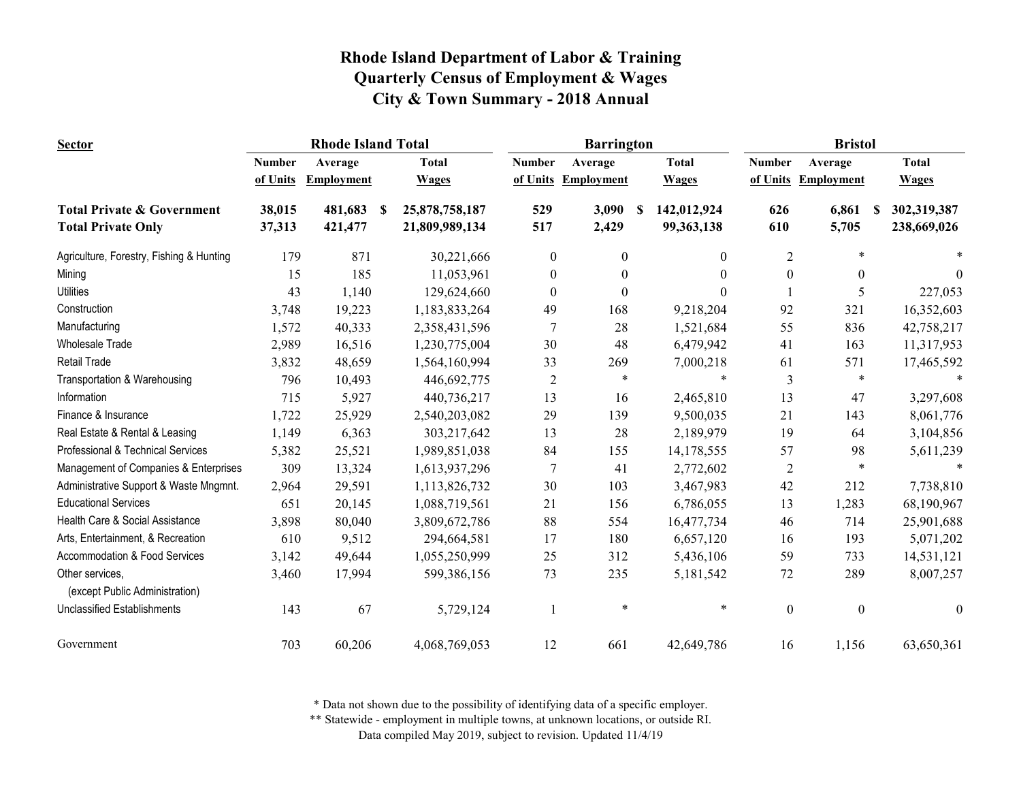| <b>Sector</b>                            |               | <b>Rhode Island Total</b> |    |                | <b>Barrington</b> |                   |    | <b>Bristol</b> |                  |                     |                             |
|------------------------------------------|---------------|---------------------------|----|----------------|-------------------|-------------------|----|----------------|------------------|---------------------|-----------------------------|
|                                          | <b>Number</b> | Average                   |    | <b>Total</b>   | <b>Number</b>     | Average           |    | <b>Total</b>   | <b>Number</b>    | Average             | <b>Total</b>                |
|                                          | of Units      | <b>Employment</b>         |    | <b>Wages</b>   | of Units          | <b>Employment</b> |    | <b>Wages</b>   |                  | of Units Employment | <b>Wages</b>                |
| <b>Total Private &amp; Government</b>    | 38,015        | 481,683                   | -S | 25,878,758,187 | 529               | 3,090             | -S | 142,012,924    | 626              | 6,861               | 302,319,387<br>$\mathbf{s}$ |
| <b>Total Private Only</b>                | 37,313        | 421,477                   |    | 21,809,989,134 | 517               | 2,429             |    | 99,363,138     | 610              | 5,705               | 238,669,026                 |
| Agriculture, Forestry, Fishing & Hunting | 179           | 871                       |    | 30,221,666     | $\theta$          | $\Omega$          |    | $\theta$       | 2                | $\ast$              | $\ast$                      |
| Mining                                   | 15            | 185                       |    | 11,053,961     | $\mathbf{0}$      | $\theta$          |    | $\theta$       | $\boldsymbol{0}$ | $\boldsymbol{0}$    | $\theta$                    |
| <b>Utilities</b>                         | 43            | 1,140                     |    | 129,624,660    | $\theta$          | $\Omega$          |    | $\Omega$       |                  | 5                   | 227,053                     |
| Construction                             | 3,748         | 19,223                    |    | 1,183,833,264  | 49                | 168               |    | 9,218,204      | 92               | 321                 | 16,352,603                  |
| Manufacturing                            | 1,572         | 40,333                    |    | 2,358,431,596  | 7                 | 28                |    | 1,521,684      | 55               | 836                 | 42,758,217                  |
| <b>Wholesale Trade</b>                   | 2,989         | 16,516                    |    | 1,230,775,004  | 30                | 48                |    | 6,479,942      | 41               | 163                 | 11,317,953                  |
| <b>Retail Trade</b>                      | 3,832         | 48,659                    |    | 1,564,160,994  | 33                | 269               |    | 7,000,218      | 61               | 571                 | 17,465,592                  |
| Transportation & Warehousing             | 796           | 10,493                    |    | 446,692,775    | $\overline{2}$    | $\ast$            |    | $\ast$         | 3                | $\ast$              |                             |
| Information                              | 715           | 5,927                     |    | 440,736,217    | 13                | 16                |    | 2,465,810      | 13               | 47                  | 3,297,608                   |
| Finance & Insurance                      | 1,722         | 25,929                    |    | 2,540,203,082  | 29                | 139               |    | 9,500,035      | 21               | 143                 | 8,061,776                   |
| Real Estate & Rental & Leasing           | 1,149         | 6,363                     |    | 303,217,642    | 13                | 28                |    | 2,189,979      | 19               | 64                  | 3,104,856                   |
| Professional & Technical Services        | 5,382         | 25,521                    |    | 1,989,851,038  | 84                | 155               |    | 14,178,555     | 57               | 98                  | 5,611,239                   |
| Management of Companies & Enterprises    | 309           | 13,324                    |    | 1,613,937,296  | $\overline{7}$    | 41                |    | 2,772,602      | $\overline{2}$   | $\ast$              |                             |
| Administrative Support & Waste Mngmnt.   | 2,964         | 29,591                    |    | 1,113,826,732  | 30                | 103               |    | 3,467,983      | 42               | 212                 | 7,738,810                   |
| <b>Educational Services</b>              | 651           | 20,145                    |    | 1,088,719,561  | 21                | 156               |    | 6,786,055      | 13               | 1,283               | 68,190,967                  |
| Health Care & Social Assistance          | 3,898         | 80,040                    |    | 3,809,672,786  | 88                | 554               |    | 16,477,734     | 46               | 714                 | 25,901,688                  |
| Arts, Entertainment, & Recreation        | 610           | 9,512                     |    | 294,664,581    | 17                | 180               |    | 6,657,120      | 16               | 193                 | 5,071,202                   |
| Accommodation & Food Services            | 3,142         | 49,644                    |    | 1,055,250,999  | 25                | 312               |    | 5,436,106      | 59               | 733                 | 14,531,121                  |
| Other services,                          | 3,460         | 17,994                    |    | 599,386,156    | 73                | 235               |    | 5,181,542      | 72               | 289                 | 8,007,257                   |
| (except Public Administration)           |               |                           |    |                |                   |                   |    |                |                  |                     |                             |
| <b>Unclassified Establishments</b>       | 143           | 67                        |    | 5,729,124      | $\mathbf{1}$      | $\ast$            |    | $\ast$         | $\boldsymbol{0}$ | $\mathbf{0}$        | $\overline{0}$              |
| Government                               | 703           | 60,206                    |    | 4,068,769,053  | 12                | 661               |    | 42,649,786     | 16               | 1,156               | 63,650,361                  |

\* Data not shown due to the possibility of identifying data of a specific employer.

\*\* Statewide - employment in multiple towns, at unknown locations, or outside RI.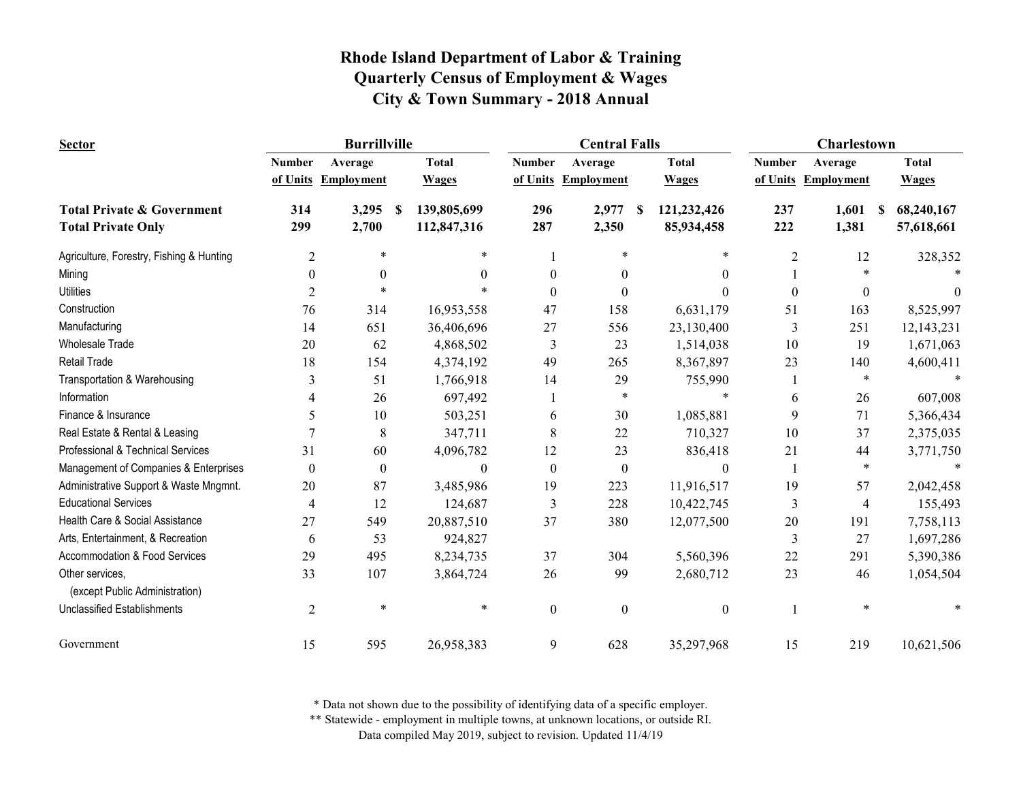| <b>Sector</b>                            |                | <b>Burrillville</b> |                   |                  | <b>Central Falls</b> |                         | Charlestown   |                   |                        |
|------------------------------------------|----------------|---------------------|-------------------|------------------|----------------------|-------------------------|---------------|-------------------|------------------------|
|                                          | <b>Number</b>  | Average             | <b>Total</b>      | <b>Number</b>    | Average              | <b>Total</b>            | <b>Number</b> | Average           | <b>Total</b>           |
|                                          |                | of Units Employment | <b>Wages</b>      | of Units         | <b>Employment</b>    | <b>Wages</b>            | of Units      | <b>Employment</b> | <b>Wages</b>           |
| <b>Total Private &amp; Government</b>    | 314            | 3,295               | 139,805,699<br>-S | 296              | 2,977                | 121,232,426<br><b>S</b> | 237           | 1,601             | 68,240,167<br><b>S</b> |
| <b>Total Private Only</b>                | 299            | 2,700               | 112,847,316       | 287              | 2,350                | 85,934,458              | 222           | 1,381             | 57,618,661             |
| Agriculture, Forestry, Fishing & Hunting | 2              | ∗                   | ∗                 |                  | $\ast$               | $\ast$                  | 2             | 12                | 328,352                |
| Mining                                   | 0              | $\overline{0}$      | 0                 | $\theta$         | $\theta$             | 0                       |               | *                 |                        |
| <b>Utilities</b>                         | 2              |                     |                   | $\Omega$         | $\Omega$             |                         | $\Omega$      | $\theta$          | $\theta$               |
| Construction                             | 76             | 314                 | 16,953,558        | 47               | 158                  | 6,631,179               | 51            | 163               | 8,525,997              |
| Manufacturing                            | 14             | 651                 | 36,406,696        | 27               | 556                  | 23,130,400              | 3             | 251               | 12, 143, 231           |
| <b>Wholesale Trade</b>                   | 20             | 62                  | 4,868,502         | 3                | 23                   | 1,514,038               | 10            | 19                | 1,671,063              |
| <b>Retail Trade</b>                      | 18             | 154                 | 4,374,192         | 49               | 265                  | 8,367,897               | 23            | 140               | 4,600,411              |
| Transportation & Warehousing             | 3              | 51                  | 1,766,918         | 14               | 29                   | 755,990                 |               | $\ast$            |                        |
| Information                              | 4              | 26                  | 697,492           |                  | $\ast$               | *                       | 6             | 26                | 607,008                |
| Finance & Insurance                      | 5              | 10                  | 503,251           | 6                | 30                   | 1,085,881               | 9             | 71                | 5,366,434              |
| Real Estate & Rental & Leasing           | 7              | 8                   | 347,711           | 8                | 22                   | 710,327                 | 10            | 37                | 2,375,035              |
| Professional & Technical Services        | 31             | 60                  | 4,096,782         | 12               | 23                   | 836,418                 | 21            | 44                | 3,771,750              |
| Management of Companies & Enterprises    | $\theta$       | $\overline{0}$      | $\boldsymbol{0}$  | $\mathbf{0}$     | $\boldsymbol{0}$     | $\theta$                | -1            | $\ast$            |                        |
| Administrative Support & Waste Mngmnt.   | 20             | 87                  | 3,485,986         | 19               | 223                  | 11,916,517              | 19            | 57                | 2,042,458              |
| <b>Educational Services</b>              | 4              | 12                  | 124,687           | 3                | 228                  | 10,422,745              | 3             | 4                 | 155,493                |
| Health Care & Social Assistance          | 27             | 549                 | 20,887,510        | 37               | 380                  | 12,077,500              | 20            | 191               | 7,758,113              |
| Arts, Entertainment, & Recreation        | 6              | 53                  | 924,827           |                  |                      |                         | 3             | 27                | 1,697,286              |
| Accommodation & Food Services            | 29             | 495                 | 8,234,735         | 37               | 304                  | 5,560,396               | 22            | 291               | 5,390,386              |
| Other services,                          | 33             | 107                 | 3,864,724         | 26               | 99                   | 2,680,712               | 23            | 46                | 1,054,504              |
| (except Public Administration)           |                |                     |                   |                  |                      |                         |               |                   |                        |
| <b>Unclassified Establishments</b>       | $\overline{c}$ | $\ast$              | $\ast$            | $\boldsymbol{0}$ | $\boldsymbol{0}$     | $\boldsymbol{0}$        |               | $\ast$            |                        |
| Government                               | 15             | 595                 | 26,958,383        | 9                | 628                  | 35,297,968              | 15            | 219               | 10,621,506             |

\* Data not shown due to the possibility of identifying data of a specific employer.

\*\* Statewide - employment in multiple towns, at unknown locations, or outside RI.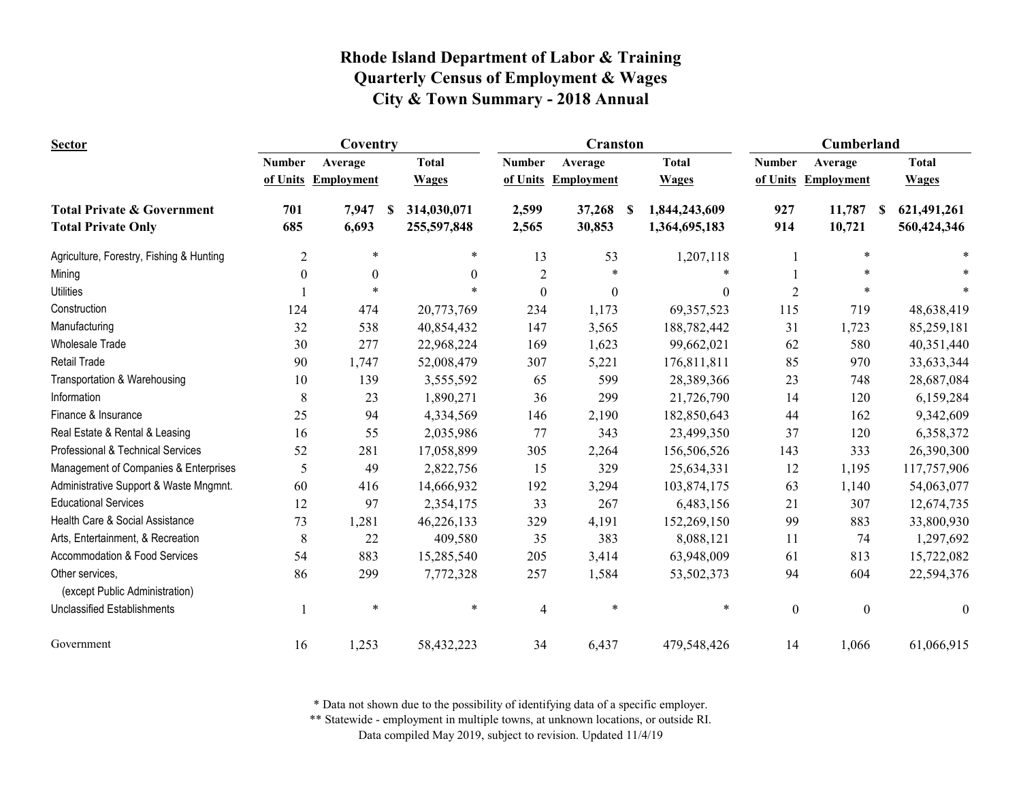| <b>Sector</b>                            |                  | Coventry            |                         |                | <b>Cranston</b>   |                    | <b>Cumberland</b> |                     |                  |
|------------------------------------------|------------------|---------------------|-------------------------|----------------|-------------------|--------------------|-------------------|---------------------|------------------|
|                                          | <b>Number</b>    | Average             | <b>Total</b>            | <b>Number</b>  | Average           | <b>Total</b>       | <b>Number</b>     | Average             | <b>Total</b>     |
|                                          |                  | of Units Employment | <b>Wages</b>            | of Units       | <b>Employment</b> | <b>Wages</b>       |                   | of Units Employment | <b>Wages</b>     |
| <b>Total Private &amp; Government</b>    | 701              | 7,947               | 314,030,071<br><b>S</b> | 2,599          | 37,268            | 1,844,243,609<br>S | 927               | 11,787              | 621,491,261<br>S |
| <b>Total Private Only</b>                | 685              | 6,693               | 255,597,848             | 2,565          | 30,853            | 1,364,695,183      | 914               | 10,721              | 560,424,346      |
| Agriculture, Forestry, Fishing & Hunting | $\overline{2}$   | $\ast$              | $\ast$                  | 13             | 53                | 1,207,118          |                   | $\ast$              |                  |
| Mining                                   | $\boldsymbol{0}$ | $\boldsymbol{0}$    | $\overline{0}$          | $\overline{2}$ | $\ast$            | $\ast$             |                   | $\ast$              |                  |
| <b>Utilities</b>                         |                  |                     |                         | $\Omega$       | $\theta$          | $\Omega$           | $\overline{2}$    |                     |                  |
| Construction                             | 124              | 474                 | 20,773,769              | 234            | 1,173             | 69, 357, 523       | 115               | 719                 | 48,638,419       |
| Manufacturing                            | 32               | 538                 | 40,854,432              | 147            | 3,565             | 188,782,442        | 31                | 1,723               | 85,259,181       |
| <b>Wholesale Trade</b>                   | 30               | 277                 | 22,968,224              | 169            | 1,623             | 99,662,021         | 62                | 580                 | 40,351,440       |
| <b>Retail Trade</b>                      | 90               | 1,747               | 52,008,479              | 307            | 5,221             | 176,811,811        | 85                | 970                 | 33,633,344       |
| Transportation & Warehousing             | $10\,$           | 139                 | 3,555,592               | 65             | 599               | 28,389,366         | 23                | 748                 | 28,687,084       |
| Information                              | 8                | 23                  | 1,890,271               | 36             | 299               | 21,726,790         | 14                | 120                 | 6,159,284        |
| Finance & Insurance                      | 25               | 94                  | 4,334,569               | 146            | 2,190             | 182,850,643        | 44                | 162                 | 9,342,609        |
| Real Estate & Rental & Leasing           | 16               | 55                  | 2,035,986               | 77             | 343               | 23,499,350         | 37                | 120                 | 6,358,372        |
| Professional & Technical Services        | 52               | 281                 | 17,058,899              | 305            | 2,264             | 156,506,526        | 143               | 333                 | 26,390,300       |
| Management of Companies & Enterprises    | 5                | 49                  | 2,822,756               | 15             | 329               | 25,634,331         | 12                | 1,195               | 117,757,906      |
| Administrative Support & Waste Mngmnt.   | 60               | 416                 | 14,666,932              | 192            | 3,294             | 103,874,175        | 63                | 1,140               | 54,063,077       |
| <b>Educational Services</b>              | 12               | 97                  | 2,354,175               | 33             | 267               | 6,483,156          | 21                | 307                 | 12,674,735       |
| Health Care & Social Assistance          | 73               | 1,281               | 46,226,133              | 329            | 4,191             | 152,269,150        | 99                | 883                 | 33,800,930       |
| Arts, Entertainment, & Recreation        | 8                | 22                  | 409,580                 | 35             | 383               | 8,088,121          | 11                | 74                  | 1,297,692        |
| <b>Accommodation &amp; Food Services</b> | 54               | 883                 | 15,285,540              | 205            | 3,414             | 63,948,009         | 61                | 813                 | 15,722,082       |
| Other services,                          | 86               | 299                 | 7,772,328               | 257            | 1,584             | 53,502,373         | 94                | 604                 | 22,594,376       |
| (except Public Administration)           |                  |                     |                         |                |                   |                    |                   |                     |                  |
| <b>Unclassified Establishments</b>       |                  | $\ast$              | $\ast$                  | 4              | $\ast$            | $\ast$             | $\boldsymbol{0}$  | $\boldsymbol{0}$    | $\theta$         |
| Government                               | 16               | 1,253               | 58,432,223              | 34             | 6,437             | 479,548,426        | 14                | 1,066               | 61,066,915       |

\* Data not shown due to the possibility of identifying data of a specific employer.

\*\* Statewide - employment in multiple towns, at unknown locations, or outside RI.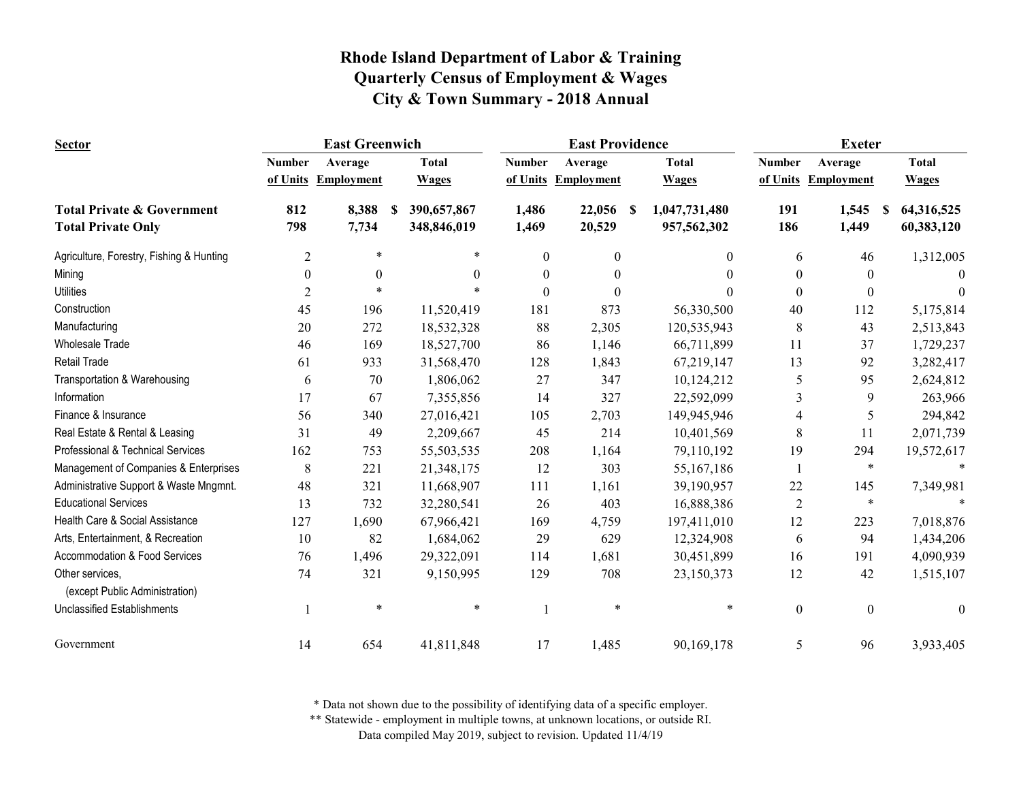| <b>Sector</b>                            |                  | <b>East Greenwich</b> |                   |                  | <b>East Providence</b> |                           | <b>Exeter</b>    |                     |                    |
|------------------------------------------|------------------|-----------------------|-------------------|------------------|------------------------|---------------------------|------------------|---------------------|--------------------|
|                                          | <b>Number</b>    | Average               | <b>Total</b>      | <b>Number</b>    | Average                | <b>Total</b>              | <b>Number</b>    | Average             | <b>Total</b>       |
|                                          | of Units         | <b>Employment</b>     | <b>Wages</b>      |                  | of Units Employment    | <b>Wages</b>              |                  | of Units Employment | <b>Wages</b>       |
| <b>Total Private &amp; Government</b>    | 812              | 8,388                 | 390,657,867<br>-S | 1,486            | 22,056                 | 1,047,731,480<br><b>S</b> | 191              | 1,545               | 64,316,525<br>- \$ |
| <b>Total Private Only</b>                | 798              | 7,734                 | 348,846,019       | 1,469            | 20,529                 | 957,562,302               | 186              | 1,449               | 60,383,120         |
| Agriculture, Forestry, Fishing & Hunting | 2                | $\ast$                | *                 | $\boldsymbol{0}$ | $\boldsymbol{0}$       | $\theta$                  | 6                | 46                  | 1,312,005          |
| Mining                                   | $\boldsymbol{0}$ | $\mathbf{0}$          | $\boldsymbol{0}$  | $\boldsymbol{0}$ | 0                      | $\Omega$                  | $\theta$         | $\theta$            | $\theta$           |
| <b>Utilities</b>                         | $\overline{2}$   | $\ast$                |                   | $\Omega$         | 0                      | ∩                         | $\Omega$         | $\theta$            | $\Omega$           |
| Construction                             | 45               | 196                   | 11,520,419        | 181              | 873                    | 56,330,500                | 40               | 112                 | 5,175,814          |
| Manufacturing                            | 20               | 272                   | 18,532,328        | 88               | 2,305                  | 120,535,943               | 8                | 43                  | 2,513,843          |
| <b>Wholesale Trade</b>                   | 46               | 169                   | 18,527,700        | 86               | 1,146                  | 66,711,899                | 11               | 37                  | 1,729,237          |
| Retail Trade                             | 61               | 933                   | 31,568,470        | 128              | 1,843                  | 67,219,147                | 13               | 92                  | 3,282,417          |
| Transportation & Warehousing             | 6                | 70                    | 1,806,062         | 27               | 347                    | 10,124,212                | 5                | 95                  | 2,624,812          |
| Information                              | 17               | 67                    | 7,355,856         | 14               | 327                    | 22,592,099                | 3                | 9                   | 263,966            |
| Finance & Insurance                      | 56               | 340                   | 27,016,421        | 105              | 2,703                  | 149,945,946               | 4                | 5                   | 294,842            |
| Real Estate & Rental & Leasing           | 31               | 49                    | 2,209,667         | 45               | 214                    | 10,401,569                | 8                | 11                  | 2,071,739          |
| Professional & Technical Services        | 162              | 753                   | 55,503,535        | 208              | 1,164                  | 79,110,192                | 19               | 294                 | 19,572,617         |
| Management of Companies & Enterprises    | 8                | 221                   | 21,348,175        | 12               | 303                    | 55,167,186                |                  | $\ast$              |                    |
| Administrative Support & Waste Mngmnt.   | 48               | 321                   | 11,668,907        | 111              | 1,161                  | 39,190,957                | 22               | 145                 | 7,349,981          |
| <b>Educational Services</b>              | 13               | 732                   | 32,280,541        | 26               | 403                    | 16,888,386                | $\overline{2}$   | $\ast$              |                    |
| Health Care & Social Assistance          | 127              | 1,690                 | 67,966,421        | 169              | 4,759                  | 197,411,010               | 12               | 223                 | 7,018,876          |
| Arts, Entertainment, & Recreation        | 10               | 82                    | 1,684,062         | 29               | 629                    | 12,324,908                | 6                | 94                  | 1,434,206          |
| <b>Accommodation &amp; Food Services</b> | 76               | 1,496                 | 29,322,091        | 114              | 1,681                  | 30,451,899                | 16               | 191                 | 4,090,939          |
| Other services,                          | 74               | 321                   | 9,150,995         | 129              | 708                    | 23,150,373                | 12               | 42                  | 1,515,107          |
| (except Public Administration)           |                  |                       |                   |                  |                        |                           |                  |                     |                    |
| <b>Unclassified Establishments</b>       |                  | $\ast$                | *                 |                  | *                      | $\ast$                    | $\boldsymbol{0}$ | $\boldsymbol{0}$    | $\theta$           |
| Government                               | 14               | 654                   | 41,811,848        | 17               | 1,485                  | 90,169,178                | 5                | 96                  | 3,933,405          |

\* Data not shown due to the possibility of identifying data of a specific employer.

\*\* Statewide - employment in multiple towns, at unknown locations, or outside RI.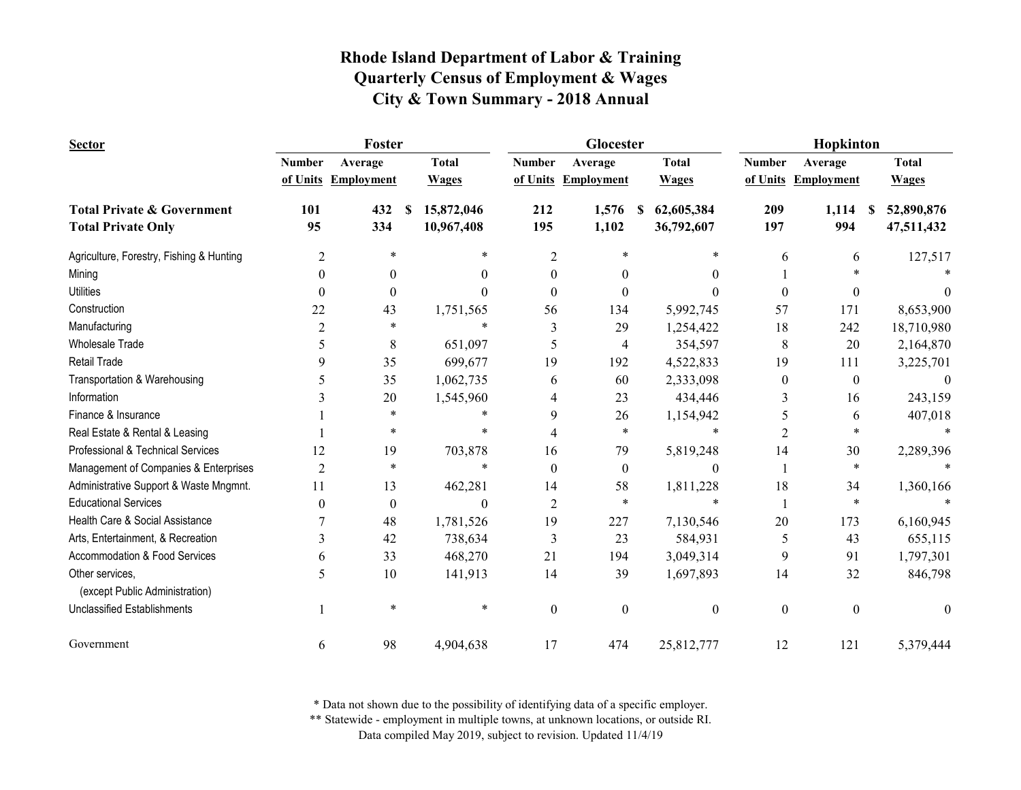| <b>Sector</b>                            |                | Foster              |                 |                  | Glocester           |                        | Hopkinton        |                     |                  |
|------------------------------------------|----------------|---------------------|-----------------|------------------|---------------------|------------------------|------------------|---------------------|------------------|
|                                          | <b>Number</b>  | Average             | <b>Total</b>    | <b>Number</b>    | Average             | <b>Total</b>           | <b>Number</b>    | Average             | <b>Total</b>     |
|                                          |                | of Units Employment | <b>Wages</b>    |                  | of Units Employment | <b>Wages</b>           |                  | of Units Employment | <b>Wages</b>     |
| <b>Total Private &amp; Government</b>    | 101            | 432                 | 15,872,046<br>S | 212              | 1,576               | 62,605,384<br><b>S</b> | 209              | 1,114               | 52,890,876<br>-S |
| <b>Total Private Only</b>                | 95             | 334                 | 10,967,408      | 195              | 1,102               | 36,792,607             | 197              | 994                 | 47,511,432       |
| Agriculture, Forestry, Fishing & Hunting | 2              | $\ast$              | $\ast$          | $\overline{c}$   | *                   | *                      | 6                | 6                   | 127,517          |
| Mining                                   | $\theta$       | $\theta$            | $\theta$        | 0                | $\overline{0}$      | 0                      |                  |                     |                  |
| <b>Utilities</b>                         | $\Omega$       | $\overline{0}$      | 0               | $\theta$         | 0                   | 0                      | $\Omega$         | $\Omega$            |                  |
| Construction                             | 22             | 43                  | 1,751,565       | 56               | 134                 | 5,992,745              | 57               | 171                 | 8,653,900        |
| Manufacturing                            | $\overline{2}$ | $\ast$              | $\ast$          | 3                | 29                  | 1,254,422              | 18               | 242                 | 18,710,980       |
| <b>Wholesale Trade</b>                   | 5              | 8                   | 651,097         | 5                | 4                   | 354,597                | 8                | 20                  | 2,164,870        |
| <b>Retail Trade</b>                      | 9              | 35                  | 699,677         | 19               | 192                 | 4,522,833              | 19               | 111                 | 3,225,701        |
| Transportation & Warehousing             | 5              | 35                  | 1,062,735       | 6                | 60                  | 2,333,098              | $\boldsymbol{0}$ | $\boldsymbol{0}$    | $\Omega$         |
| Information                              | 3              | 20                  | 1,545,960       | 4                | 23                  | 434,446                | 3                | 16                  | 243,159          |
| Finance & Insurance                      |                | $\ast$              | *               | 9                | 26                  | 1,154,942              | 5                | 6                   | 407,018          |
| Real Estate & Rental & Leasing           |                | $\ast$              | $\ast$          | 4                | $\ast$              | *                      | 2                | *                   |                  |
| Professional & Technical Services        | 12             | 19                  | 703,878         | 16               | 79                  | 5,819,248              | 14               | 30                  | 2,289,396        |
| Management of Companies & Enterprises    | $\overline{2}$ | $\ast$              | $\ast$          | $\Omega$         | $\theta$            | $\theta$               |                  | $\ast$              |                  |
| Administrative Support & Waste Mngmnt.   | 11             | 13                  | 462,281         | 14               | 58                  | 1,811,228              | 18               | 34                  | 1,360,166        |
| <b>Educational Services</b>              | 0              | $\overline{0}$      | $\theta$        | $\overline{2}$   | $\ast$              | $\ast$                 |                  | $\ast$              |                  |
| Health Care & Social Assistance          |                | 48                  | 1,781,526       | 19               | 227                 | 7,130,546              | 20               | 173                 | 6,160,945        |
| Arts, Entertainment, & Recreation        | 3              | 42                  | 738,634         | 3                | 23                  | 584,931                | 5                | 43                  | 655,115          |
| Accommodation & Food Services            | 6              | 33                  | 468,270         | 21               | 194                 | 3,049,314              | 9                | 91                  | 1,797,301        |
| Other services,                          | 5              | 10                  | 141,913         | 14               | 39                  | 1,697,893              | 14               | 32                  | 846,798          |
| (except Public Administration)           |                |                     |                 |                  |                     |                        |                  |                     |                  |
| <b>Unclassified Establishments</b>       |                | $\ast$              | $\ast$          | $\boldsymbol{0}$ | $\theta$            | $\boldsymbol{0}$       | $\boldsymbol{0}$ | $\theta$            | 0                |
| Government                               | 6              | 98                  | 4,904,638       | 17               | 474                 | 25,812,777             | 12               | 121                 | 5,379,444        |

\* Data not shown due to the possibility of identifying data of a specific employer.

\*\* Statewide - employment in multiple towns, at unknown locations, or outside RI.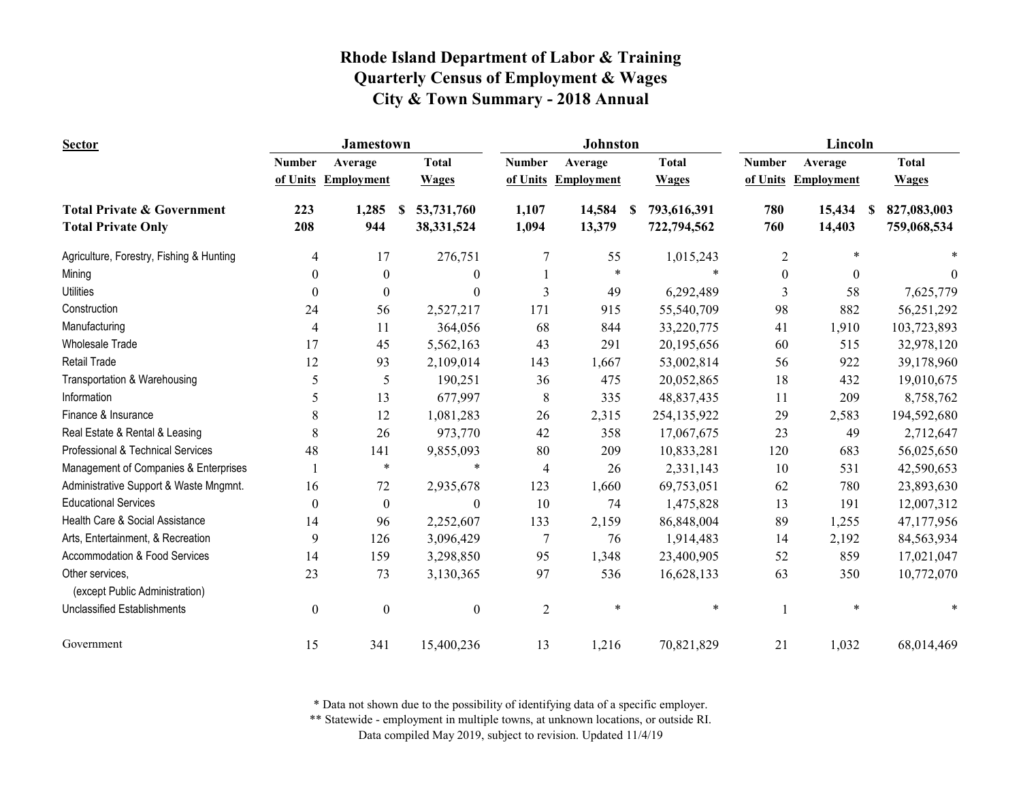| <b>Sector</b>                            |                  | <b>Jamestown</b>  |                  |                  | Johnston          |                  | Lincoln          |                   |                  |
|------------------------------------------|------------------|-------------------|------------------|------------------|-------------------|------------------|------------------|-------------------|------------------|
|                                          | <b>Number</b>    | Average           | <b>Total</b>     | <b>Number</b>    | Average           | <b>Total</b>     | <b>Number</b>    | Average           | <b>Total</b>     |
|                                          | of Units         | <b>Employment</b> | <b>Wages</b>     | of Units         | <b>Employment</b> | <b>Wages</b>     | of Units         | <b>Employment</b> | <b>Wages</b>     |
| <b>Total Private &amp; Government</b>    | 223              | 1,285             | 53,731,760<br>S  | 1,107            | 14,584            | 793,616,391<br>S | 780              | 15,434            | 827,083,003<br>S |
| <b>Total Private Only</b>                | 208              | 944               | 38, 331, 524     | 1,094            | 13,379            | 722,794,562      | 760              | 14,403            | 759,068,534      |
| Agriculture, Forestry, Fishing & Hunting | $\overline{4}$   | 17                | 276,751          | 7                | 55                | 1,015,243        | $\overline{2}$   | $\ast$            |                  |
| Mining                                   | $\boldsymbol{0}$ | $\boldsymbol{0}$  | $\boldsymbol{0}$ |                  | $\ast$            | $\ast$           | $\boldsymbol{0}$ | $\boldsymbol{0}$  | $\theta$         |
| <b>Utilities</b>                         | $\theta$         | $\boldsymbol{0}$  | $\theta$         | 3                | 49                | 6,292,489        | 3                | 58                | 7,625,779        |
| Construction                             | 24               | 56                | 2,527,217        | 171              | 915               | 55,540,709       | 98               | 882               | 56,251,292       |
| Manufacturing                            | $\overline{4}$   | 11                | 364,056          | 68               | 844               | 33,220,775       | 41               | 1,910             | 103,723,893      |
| <b>Wholesale Trade</b>                   | 17               | 45                | 5,562,163        | 43               | 291               | 20,195,656       | 60               | 515               | 32,978,120       |
| <b>Retail Trade</b>                      | 12               | 93                | 2,109,014        | 143              | 1,667             | 53,002,814       | 56               | 922               | 39,178,960       |
| Transportation & Warehousing             | 5                | 5                 | 190,251          | 36               | 475               | 20,052,865       | 18               | 432               | 19,010,675       |
| Information                              | 5                | 13                | 677,997          | 8                | 335               | 48,837,435       | 11               | 209               | 8,758,762        |
| Finance & Insurance                      | 8                | 12                | 1,081,283        | 26               | 2,315             | 254,135,922      | 29               | 2,583             | 194,592,680      |
| Real Estate & Rental & Leasing           | 8                | 26                | 973,770          | 42               | 358               | 17,067,675       | 23               | 49                | 2,712,647        |
| Professional & Technical Services        | 48               | 141               | 9,855,093        | 80               | 209               | 10,833,281       | 120              | 683               | 56,025,650       |
| Management of Companies & Enterprises    |                  | $\ast$            | ∗                | 4                | 26                | 2,331,143        | 10               | 531               | 42,590,653       |
| Administrative Support & Waste Mngmnt.   | 16               | 72                | 2,935,678        | 123              | 1,660             | 69,753,051       | 62               | 780               | 23,893,630       |
| <b>Educational Services</b>              | $\theta$         | $\boldsymbol{0}$  | $\boldsymbol{0}$ | 10               | 74                | 1,475,828        | 13               | 191               | 12,007,312       |
| Health Care & Social Assistance          | 14               | 96                | 2,252,607        | 133              | 2,159             | 86,848,004       | 89               | 1,255             | 47,177,956       |
| Arts, Entertainment, & Recreation        | 9                | 126               | 3,096,429        | $\boldsymbol{7}$ | 76                | 1,914,483        | 14               | 2,192             | 84,563,934       |
| Accommodation & Food Services            | 14               | 159               | 3,298,850        | 95               | 1,348             | 23,400,905       | 52               | 859               | 17,021,047       |
| Other services,                          | 23               | 73                | 3,130,365        | 97               | 536               | 16,628,133       | 63               | 350               | 10,772,070       |
| (except Public Administration)           |                  |                   |                  |                  |                   |                  |                  |                   |                  |
| <b>Unclassified Establishments</b>       | $\boldsymbol{0}$ | $\mathbf{0}$      | $\boldsymbol{0}$ | $\overline{2}$   | $\ast$            | $\ast$           |                  | $\ast$            | *                |
| Government                               | 15               | 341               | 15,400,236       | 13               | 1,216             | 70,821,829       | 21               | 1,032             | 68,014,469       |

\* Data not shown due to the possibility of identifying data of a specific employer.

\*\* Statewide - employment in multiple towns, at unknown locations, or outside RI.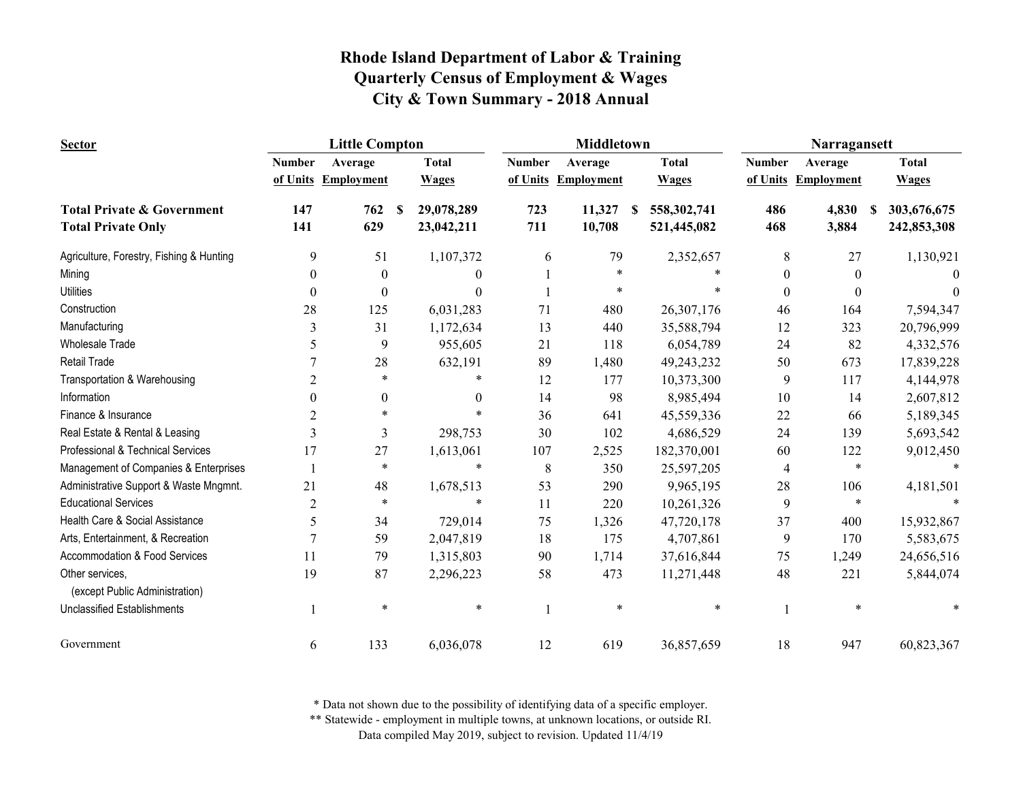| <b>Sector</b>                            |                | <b>Little Compton</b> |                            |               | Middletown          |                  | Narragansett  |                     |                              |
|------------------------------------------|----------------|-----------------------|----------------------------|---------------|---------------------|------------------|---------------|---------------------|------------------------------|
|                                          | <b>Number</b>  | Average               | <b>Total</b>               | <b>Number</b> | Average             | <b>Total</b>     | <b>Number</b> | Average             | <b>Total</b>                 |
|                                          |                | of Units Employment   | <b>Wages</b>               |               | of Units Employment | <b>Wages</b>     |               | of Units Employment | <b>Wages</b>                 |
| <b>Total Private &amp; Government</b>    | 147            | 762                   | 29,078,289<br>$\mathbf{s}$ | 723           | 11,327              | 558,302,741<br>S | 486           | 4,830               | 303,676,675<br><sup>\$</sup> |
| <b>Total Private Only</b>                | 141            | 629                   | 23,042,211                 | 711           | 10,708              | 521,445,082      | 468           | 3,884               | 242,853,308                  |
| Agriculture, Forestry, Fishing & Hunting | 9              | 51                    | 1,107,372                  | 6             | 79                  | 2,352,657        | 8             | 27                  | 1,130,921                    |
| Mining                                   | $\theta$       | $\theta$              | $\theta$                   |               | $\ast$              |                  | $\mathbf{0}$  | $\Omega$            |                              |
| <b>Utilities</b>                         | 0              | $\theta$              | $\Omega$                   |               |                     |                  | $\theta$      | $\Omega$            |                              |
| Construction                             | 28             | 125                   | 6,031,283                  | 71            | 480                 | 26,307,176       | 46            | 164                 | 7,594,347                    |
| Manufacturing                            | 3              | 31                    | 1,172,634                  | 13            | 440                 | 35,588,794       | 12            | 323                 | 20,796,999                   |
| <b>Wholesale Trade</b>                   | 5              | 9                     | 955,605                    | 21            | 118                 | 6,054,789        | 24            | 82                  | 4,332,576                    |
| Retail Trade                             |                | 28                    | 632,191                    | 89            | 1,480               | 49,243,232       | 50            | 673                 | 17,839,228                   |
| Transportation & Warehousing             | $\overline{c}$ | $\ast$                | $\ast$                     | 12            | 177                 | 10,373,300       | 9             | 117                 | 4,144,978                    |
| Information                              | 0              | $\overline{0}$        | $\theta$                   | 14            | 98                  | 8,985,494        | 10            | 14                  | 2,607,812                    |
| Finance & Insurance                      | $\overline{2}$ | $\ast$                | $\ast$                     | 36            | 641                 | 45,559,336       | 22            | 66                  | 5,189,345                    |
| Real Estate & Rental & Leasing           | 3              | 3                     | 298,753                    | 30            | 102                 | 4,686,529        | 24            | 139                 | 5,693,542                    |
| Professional & Technical Services        | 17             | 27                    | 1,613,061                  | 107           | 2,525               | 182,370,001      | 60            | 122                 | 9,012,450                    |
| Management of Companies & Enterprises    |                | $\ast$                | $\ast$                     | 8             | 350                 | 25,597,205       | 4             | $\ast$              |                              |
| Administrative Support & Waste Mngmnt.   | 21             | 48                    | 1,678,513                  | 53            | 290                 | 9,965,195        | 28            | 106                 | 4,181,501                    |
| <b>Educational Services</b>              | $\overline{2}$ | $\ast$                | $\ast$                     | 11            | 220                 | 10,261,326       | 9             | $\ast$              |                              |
| Health Care & Social Assistance          | 5              | 34                    | 729,014                    | 75            | 1,326               | 47,720,178       | 37            | 400                 | 15,932,867                   |
| Arts, Entertainment, & Recreation        | $\overline{7}$ | 59                    | 2,047,819                  | 18            | 175                 | 4,707,861        | 9             | 170                 | 5,583,675                    |
| Accommodation & Food Services            | 11             | 79                    | 1,315,803                  | 90            | 1,714               | 37,616,844       | 75            | 1,249               | 24,656,516                   |
| Other services,                          | 19             | 87                    | 2,296,223                  | 58            | 473                 | 11,271,448       | 48            | 221                 | 5,844,074                    |
| (except Public Administration)           |                |                       |                            |               |                     |                  |               |                     |                              |
| <b>Unclassified Establishments</b>       |                | $\ast$                | ∗                          |               | $\ast$              | *                |               |                     |                              |
| Government                               | 6              | 133                   | 6,036,078                  | 12            | 619                 | 36,857,659       | 18            | 947                 | 60,823,367                   |

\* Data not shown due to the possibility of identifying data of a specific employer.

\*\* Statewide - employment in multiple towns, at unknown locations, or outside RI.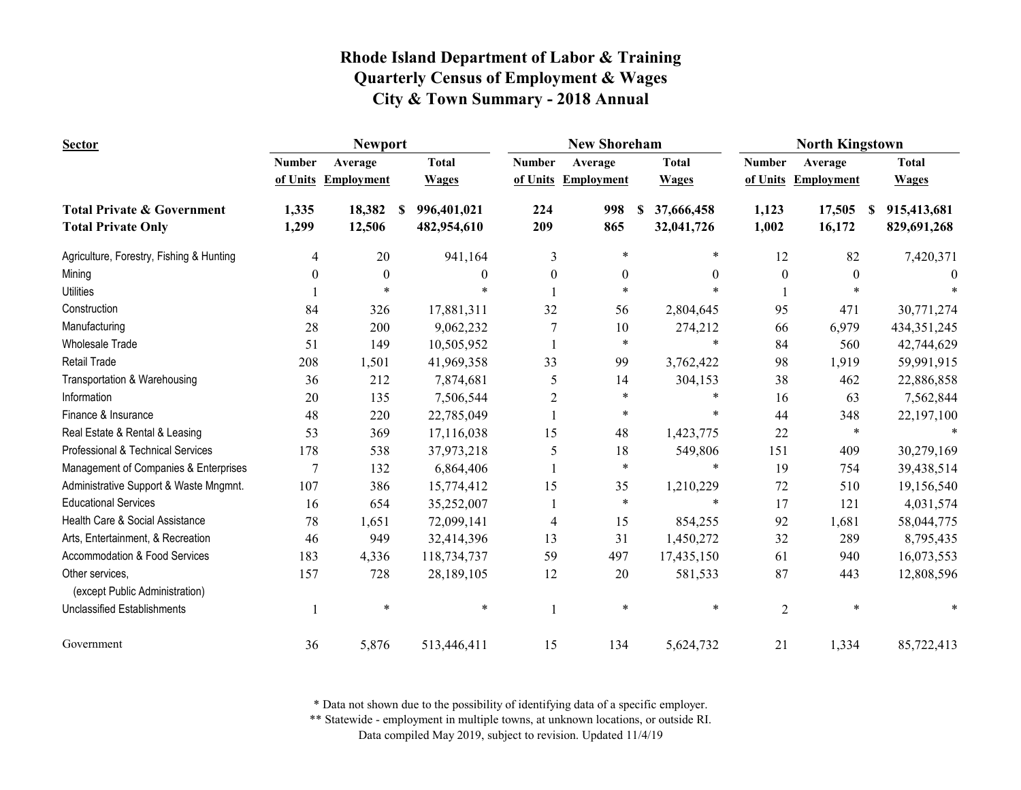| <b>Sector</b>                            |                | <b>Newport</b>    |                   |                      | <b>New Shoreham</b> |                  | <b>North Kingstown</b> |                     |                  |
|------------------------------------------|----------------|-------------------|-------------------|----------------------|---------------------|------------------|------------------------|---------------------|------------------|
|                                          | <b>Number</b>  | Average           | <b>Total</b>      | <b>Number</b>        | Average             | <b>Total</b>     | <b>Number</b>          | Average             | <b>Total</b>     |
|                                          | of Units       | <b>Employment</b> | <b>Wages</b>      |                      | of Units Employment | <b>Wages</b>     |                        | of Units Employment | <b>Wages</b>     |
| <b>Total Private &amp; Government</b>    | 1,335          | 18,382            | 996,401,021<br>-S | 224                  | 998                 | 37,666,458<br>S  | 1,123                  | 17,505              | 915,413,681<br>S |
| <b>Total Private Only</b>                | 1,299          | 12,506            | 482,954,610       | 209                  | 865                 | 32,041,726       | 1,002                  | 16,172              | 829,691,268      |
| Agriculture, Forestry, Fishing & Hunting | $\overline{4}$ | 20                | 941,164           | 3                    | $\ast$              | $\ast$           | 12                     | 82                  | 7,420,371        |
| Mining                                   | $\theta$       | $\boldsymbol{0}$  |                   | $\theta$<br>$\theta$ | $\boldsymbol{0}$    | $\boldsymbol{0}$ | $\boldsymbol{0}$       | $\theta$            | $\Omega$         |
| <b>Utilities</b>                         |                | $\ast$            |                   |                      | $\ast$              |                  |                        |                     |                  |
| Construction                             | 84             | 326               | 17,881,311        | 32                   | 56                  | 2,804,645        | 95                     | 471                 | 30,771,274       |
| Manufacturing                            | 28             | 200               | 9,062,232         |                      | 10                  | 274,212          | 66                     | 6,979               | 434, 351, 245    |
| <b>Wholesale Trade</b>                   | 51             | 149               | 10,505,952        |                      | $\ast$              | $\ast$           | 84                     | 560                 | 42,744,629       |
| <b>Retail Trade</b>                      | 208            | 1,501             | 41,969,358        | 33                   | 99                  | 3,762,422        | 98                     | 1,919               | 59,991,915       |
| Transportation & Warehousing             | 36             | 212               | 7,874,681         | 5                    | 14                  | 304,153          | 38                     | 462                 | 22,886,858       |
| Information                              | 20             | 135               | 7,506,544         | 2                    | $\ast$              |                  | 16                     | 63                  | 7,562,844        |
| Finance & Insurance                      | 48             | 220               | 22,785,049        |                      | $\ast$              | ∗                | 44                     | 348                 | 22,197,100       |
| Real Estate & Rental & Leasing           | 53             | 369               | 17,116,038        | 15                   | 48                  | 1,423,775        | 22                     | $\ast$              |                  |
| Professional & Technical Services        | 178            | 538               | 37,973,218        | 5                    | 18                  | 549,806          | 151                    | 409                 | 30,279,169       |
| Management of Companies & Enterprises    | $\overline{7}$ | 132               | 6,864,406         |                      | $\ast$              | $\ast$           | 19                     | 754                 | 39,438,514       |
| Administrative Support & Waste Mngmnt.   | 107            | 386               | 15,774,412        | 15                   | 35                  | 1,210,229        | 72                     | 510                 | 19,156,540       |
| <b>Educational Services</b>              | 16             | 654               | 35,252,007        |                      | $\ast$              | $\ast$           | 17                     | 121                 | 4,031,574        |
| Health Care & Social Assistance          | 78             | 1,651             | 72,099,141        | 4                    | 15                  | 854,255          | 92                     | 1,681               | 58,044,775       |
| Arts, Entertainment, & Recreation        | 46             | 949               | 32,414,396        | 13                   | 31                  | 1,450,272        | 32                     | 289                 | 8,795,435        |
| Accommodation & Food Services            | 183            | 4,336             | 118,734,737       | 59                   | 497                 | 17,435,150       | 61                     | 940                 | 16,073,553       |
| Other services,                          | 157            | 728               | 28,189,105        | 12                   | 20                  | 581,533          | 87                     | 443                 | 12,808,596       |
| (except Public Administration)           |                |                   |                   |                      |                     |                  |                        |                     |                  |
| <b>Unclassified Establishments</b>       |                | $\ast$            |                   | $\ast$               | $\ast$              | *                | $\overline{2}$         | $\ast$              |                  |
| Government                               | 36             | 5,876             | 513,446,411       | 15                   | 134                 | 5,624,732        | 21                     | 1,334               | 85,722,413       |

\* Data not shown due to the possibility of identifying data of a specific employer.

\*\* Statewide - employment in multiple towns, at unknown locations, or outside RI.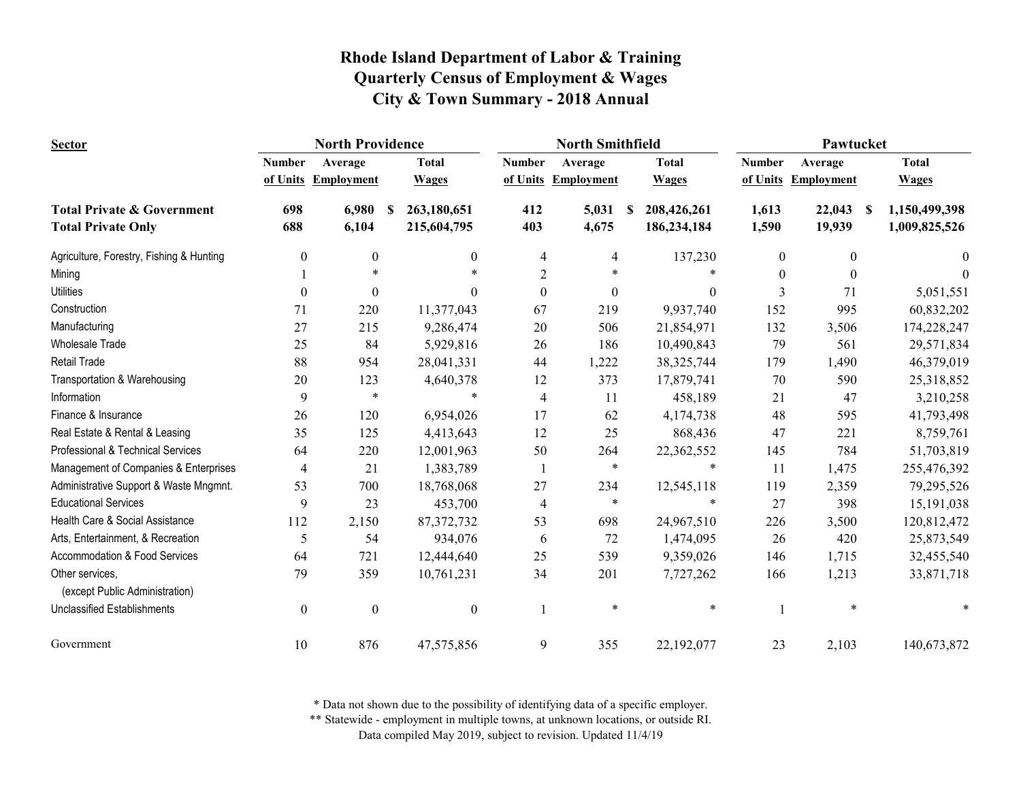| <b>Sector</b>                            | <b>North Providence</b> |                     |                   |                  |                          | <b>North Smithfield</b> |              | Pawtucket     |          |                     |              |               |
|------------------------------------------|-------------------------|---------------------|-------------------|------------------|--------------------------|-------------------------|--------------|---------------|----------|---------------------|--------------|---------------|
|                                          | <b>Number</b>           | Average             | <b>Total</b>      |                  | <b>Number</b><br>Average |                         | <b>Total</b> | <b>Number</b> | Average  |                     | <b>Total</b> |               |
|                                          |                         | of Units Employment | <b>Wages</b>      |                  |                          | of Units Employment     |              | <b>Wages</b>  |          | of Units Employment |              | <b>Wages</b>  |
| <b>Total Private &amp; Government</b>    | 698                     | 6,980               | 263,180,651<br>-S |                  | 412                      | 5,031                   | S            | 208,426,261   | 1,613    | 22,043              | -S           | 1,150,499,398 |
| <b>Total Private Only</b>                | 688                     | 6,104               | 215,604,795       |                  | 403                      | 4,675                   |              | 186,234,184   | 1,590    | 19,939              |              | 1,009,825,526 |
| Agriculture, Forestry, Fishing & Hunting | $\theta$                | $\overline{0}$      |                   | $\theta$         | $\overline{4}$           | $\overline{4}$          |              | 137,230       | $\theta$ | $\theta$            |              | $\theta$      |
| Mining                                   |                         |                     |                   |                  | $\overline{2}$           |                         |              |               | $\theta$ | $\Omega$            |              | $\Omega$      |
| <b>Utilities</b>                         | $\theta$                | $\theta$            |                   | $\Omega$         | $\theta$                 | $\theta$                |              | $\theta$      | 3        | 71                  |              | 5,051,551     |
| Construction                             | 71                      | 220                 |                   | 11,377,043       | 67                       | 219                     |              | 9,937,740     | 152      | 995                 |              | 60,832,202    |
| Manufacturing                            | 27                      | 215                 |                   | 9,286,474        | 20                       | 506                     |              | 21,854,971    | 132      | 3,506               |              | 174,228,247   |
| <b>Wholesale Trade</b>                   | 25                      | 84                  |                   | 5,929,816        | 26                       | 186                     |              | 10,490,843    | 79       | 561                 |              | 29,571,834    |
| <b>Retail Trade</b>                      | 88                      | 954                 | 28,041,331        |                  | 44                       | 1,222                   |              | 38, 325, 744  | 179      | 1,490               |              | 46,379,019    |
| Transportation & Warehousing             | 20                      | 123                 |                   | 4,640,378        | 12                       | 373                     |              | 17,879,741    | 70       | 590                 |              | 25,318,852    |
| Information                              | 9                       | $\ast$              |                   | 米                | 4                        | 11                      |              | 458,189       | 21       | 47                  |              | 3,210,258     |
| Finance & Insurance                      | 26                      | 120                 |                   | 6,954,026        | 17                       | 62                      |              | 4,174,738     | 48       | 595                 |              | 41,793,498    |
| Real Estate & Rental & Leasing           | 35                      | 125                 |                   | 4,413,643        | 12                       | 25                      |              | 868,436       | 47       | 221                 |              | 8,759,761     |
| Professional & Technical Services        | 64                      | 220                 |                   | 12,001,963       | 50                       | 264                     |              | 22,362,552    | 145      | 784                 |              | 51,703,819    |
| Management of Companies & Enterprises    | 4                       | 21                  |                   | 1,383,789        |                          | $\ast$                  |              | $\ast$        | 11       | 1,475               |              | 255,476,392   |
| Administrative Support & Waste Mngmnt.   | 53                      | 700                 |                   | 18,768,068       | 27                       | 234                     |              | 12,545,118    | 119      | 2,359               |              | 79,295,526    |
| <b>Educational Services</b>              | 9                       | 23                  |                   | 453,700          | 4                        | $\ast$                  |              | $\ast$        | 27       | 398                 |              | 15,191,038    |
| Health Care & Social Assistance          | 112                     | 2,150               |                   | 87, 372, 732     | 53                       | 698                     |              | 24,967,510    | 226      | 3,500               |              | 120,812,472   |
| Arts, Entertainment, & Recreation        | 5                       | 54                  |                   | 934,076          | 6                        | 72                      |              | 1,474,095     | 26       | 420                 |              | 25,873,549    |
| <b>Accommodation &amp; Food Services</b> | 64                      | 721                 |                   | 12,444,640       | 25                       | 539                     |              | 9,359,026     | 146      | 1,715               |              | 32,455,540    |
| Other services,                          | 79                      | 359                 | 10,761,231        |                  | 34                       | 201                     |              | 7,727,262     | 166      | 1,213               |              | 33,871,718    |
| (except Public Administration)           |                         |                     |                   |                  |                          |                         |              |               |          |                     |              |               |
| <b>Unclassified Establishments</b>       | $\boldsymbol{0}$        | $\boldsymbol{0}$    |                   | $\boldsymbol{0}$ |                          | $\ast$                  |              | $\ast$        |          | $\ast$              |              |               |
| Government                               | 10                      | 876                 | 47,575,856        |                  | 9                        | 355                     |              | 22,192,077    | 23       | 2,103               |              | 140,673,872   |

\* Data not shown due to the possibility of identifying data of a specific employer.

\*\* Statewide - employment in multiple towns, at unknown locations, or outside RI.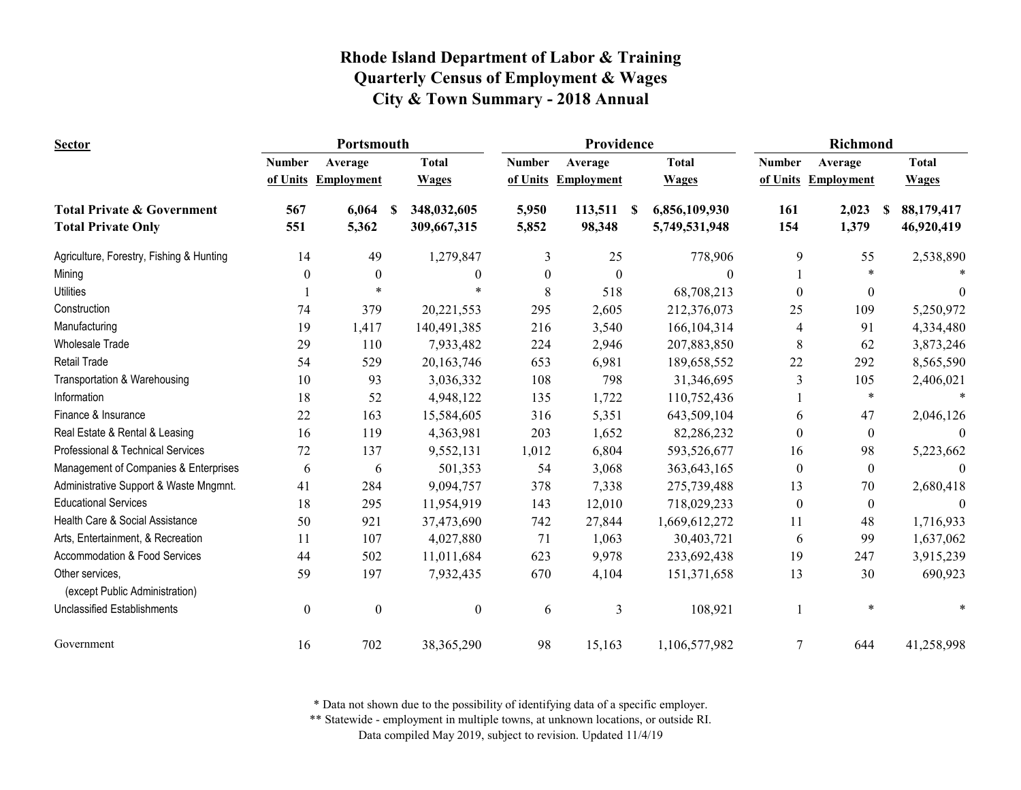| <b>Sector</b>                            |                  | Portsmouth        |    | Providence       |                  |                   |    | <b>Richmond</b> |               |                   |    |              |
|------------------------------------------|------------------|-------------------|----|------------------|------------------|-------------------|----|-----------------|---------------|-------------------|----|--------------|
|                                          | <b>Number</b>    | Average           |    | <b>Total</b>     | <b>Number</b>    | Average           |    | <b>Total</b>    | <b>Number</b> | Average           |    | <b>Total</b> |
|                                          | of Units         | <b>Employment</b> |    | <b>Wages</b>     | of Units         | <b>Employment</b> |    | <b>Wages</b>    | of Units      | <b>Employment</b> |    | <b>Wages</b> |
| <b>Total Private &amp; Government</b>    | 567              | 6,064             | -8 | 348,032,605      | 5,950            | 113,511           | -S | 6,856,109,930   | 161           | 2,023             | -S | 88,179,417   |
| <b>Total Private Only</b>                | 551              | 5,362             |    | 309,667,315      | 5,852            | 98,348            |    | 5,749,531,948   | 154           | 1,379             |    | 46,920,419   |
| Agriculture, Forestry, Fishing & Hunting | 14               | 49                |    | 1,279,847        | 3                | 25                |    | 778,906         | 9             | 55                |    | 2,538,890    |
| Mining                                   | $\theta$         | $\boldsymbol{0}$  |    | $\theta$         | $\boldsymbol{0}$ | $\boldsymbol{0}$  |    | $\mathbf{0}$    |               | $\ast$            |    |              |
| <b>Utilities</b>                         |                  |                   |    |                  | 8                | 518               |    | 68,708,213      | $\Omega$      | $\theta$          |    | 0            |
| Construction                             | 74               | 379               |    | 20,221,553       | 295              | 2,605             |    | 212,376,073     | 25            | 109               |    | 5,250,972    |
| Manufacturing                            | 19               | 1,417             |    | 140,491,385      | 216              | 3,540             |    | 166, 104, 314   | 4             | 91                |    | 4,334,480    |
| <b>Wholesale Trade</b>                   | 29               | 110               |    | 7,933,482        | 224              | 2,946             |    | 207,883,850     | $\,8\,$       | 62                |    | 3,873,246    |
| Retail Trade                             | 54               | 529               |    | 20, 163, 746     | 653              | 6,981             |    | 189,658,552     | 22            | 292               |    | 8,565,590    |
| Transportation & Warehousing             | 10               | 93                |    | 3,036,332        | 108              | 798               |    | 31,346,695      | 3             | 105               |    | 2,406,021    |
| Information                              | 18               | 52                |    | 4,948,122        | 135              | 1,722             |    | 110,752,436     |               | $\ast$            |    |              |
| Finance & Insurance                      | 22               | 163               |    | 15,584,605       | 316              | 5,351             |    | 643,509,104     | 6             | 47                |    | 2,046,126    |
| Real Estate & Rental & Leasing           | 16               | 119               |    | 4,363,981        | 203              | 1,652             |    | 82,286,232      | $\Omega$      | $\theta$          |    | $\Omega$     |
| Professional & Technical Services        | 72               | 137               |    | 9,552,131        | 1,012            | 6,804             |    | 593,526,677     | 16            | 98                |    | 5,223,662    |
| Management of Companies & Enterprises    | 6                | 6                 |    | 501,353          | 54               | 3,068             |    | 363,643,165     | $\mathbf{0}$  | $\boldsymbol{0}$  |    | $\theta$     |
| Administrative Support & Waste Mngmnt.   | 41               | 284               |    | 9,094,757        | 378              | 7,338             |    | 275,739,488     | 13            | 70                |    | 2,680,418    |
| <b>Educational Services</b>              | 18               | 295               |    | 11,954,919       | 143              | 12,010            |    | 718,029,233     | $\theta$      | $\theta$          |    | $\theta$     |
| Health Care & Social Assistance          | 50               | 921               |    | 37,473,690       | 742              | 27,844            |    | 1,669,612,272   | 11            | 48                |    | 1,716,933    |
| Arts, Entertainment, & Recreation        | 11               | 107               |    | 4,027,880        | 71               | 1,063             |    | 30,403,721      | 6             | 99                |    | 1,637,062    |
| Accommodation & Food Services            | 44               | 502               |    | 11,011,684       | 623              | 9,978             |    | 233,692,438     | 19            | 247               |    | 3,915,239    |
| Other services,                          | 59               | 197               |    | 7,932,435        | 670              | 4,104             |    | 151,371,658     | 13            | 30                |    | 690,923      |
| (except Public Administration)           |                  |                   |    |                  |                  |                   |    |                 |               |                   |    |              |
| <b>Unclassified Establishments</b>       | $\boldsymbol{0}$ | $\boldsymbol{0}$  |    | $\boldsymbol{0}$ | 6                | 3                 |    | 108,921         |               | $\ast$            |    |              |
| Government                               | 16               | 702               |    | 38, 365, 290     | 98               | 15,163            |    | 1,106,577,982   | 7             | 644               |    | 41,258,998   |

\* Data not shown due to the possibility of identifying data of a specific employer.

\*\* Statewide - employment in multiple towns, at unknown locations, or outside RI.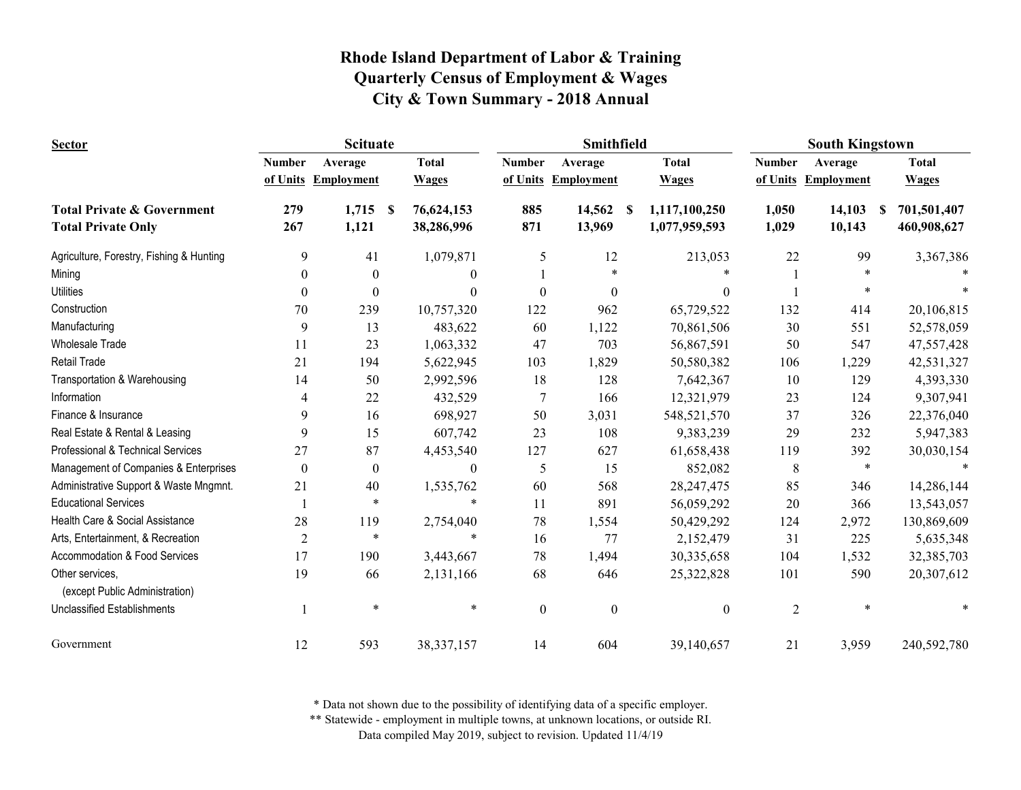| <b>Sector</b>                            |                  | <b>Scituate</b>     |                    |                | Smithfield          |                    | <b>South Kingstown</b> |                   |                  |
|------------------------------------------|------------------|---------------------|--------------------|----------------|---------------------|--------------------|------------------------|-------------------|------------------|
|                                          | <b>Number</b>    | Average             | <b>Total</b>       | <b>Number</b>  | Average             | <b>Total</b>       | <b>Number</b>          | Average           | <b>Total</b>     |
|                                          |                  | of Units Employment | <b>Wages</b>       |                | of Units Employment | <b>Wages</b>       | of Units               | <b>Employment</b> | <b>Wages</b>     |
| <b>Total Private &amp; Government</b>    | 279              | 1,715               | 76,624,153<br>- \$ | 885            | 14,562              | 1,117,100,250<br>S | 1,050                  | 14,103            | 701,501,407<br>S |
| <b>Total Private Only</b>                | 267              | 1,121               | 38,286,996         | 871            | 13,969              | 1,077,959,593      | 1,029                  | 10,143            | 460,908,627      |
| Agriculture, Forestry, Fishing & Hunting | 9                | 41                  | 1,079,871          | 5              | 12                  | 213,053            | 22                     | 99                | 3,367,386        |
| Mining                                   | $\theta$         | $\boldsymbol{0}$    | $\theta$           |                | $\ast$              |                    |                        | $\ast$            |                  |
| <b>Utilities</b>                         | $\Omega$         | $\theta$            | $\theta$           | $\theta$       | $\theta$            | $\Omega$           |                        |                   |                  |
| Construction                             | 70               | 239                 | 10,757,320         | 122            | 962                 | 65,729,522         | 132                    | 414               | 20,106,815       |
| Manufacturing                            | 9                | 13                  | 483,622            | 60             | 1,122               | 70,861,506         | 30                     | 551               | 52,578,059       |
| <b>Wholesale Trade</b>                   | 11               | 23                  | 1,063,332          | 47             | 703                 | 56,867,591         | 50                     | 547               | 47,557,428       |
| Retail Trade                             | 21               | 194                 | 5,622,945          | 103            | 1,829               | 50,580,382         | 106                    | 1,229             | 42,531,327       |
| Transportation & Warehousing             | 14               | 50                  | 2,992,596          | 18             | 128                 | 7,642,367          | 10                     | 129               | 4,393,330        |
| Information                              | 4                | 22                  | 432,529            | 7              | 166                 | 12,321,979         | 23                     | 124               | 9,307,941        |
| Finance & Insurance                      | 9                | 16                  | 698,927            | 50             | 3,031               | 548,521,570        | 37                     | 326               | 22,376,040       |
| Real Estate & Rental & Leasing           | 9                | 15                  | 607,742            | 23             | 108                 | 9,383,239          | 29                     | 232               | 5,947,383        |
| Professional & Technical Services        | 27               | 87                  | 4,453,540          | 127            | 627                 | 61,658,438         | 119                    | 392               | 30,030,154       |
| Management of Companies & Enterprises    | $\boldsymbol{0}$ | $\boldsymbol{0}$    | $\boldsymbol{0}$   | 5              | 15                  | 852,082            | $8\,$                  | $\ast$            |                  |
| Administrative Support & Waste Mngmnt.   | 21               | 40                  | 1,535,762          | 60             | 568                 | 28, 247, 475       | 85                     | 346               | 14,286,144       |
| <b>Educational Services</b>              |                  | $\ast$              | $\ast$             | 11             | 891                 | 56,059,292         | 20                     | 366               | 13,543,057       |
| Health Care & Social Assistance          | 28               | 119                 | 2,754,040          | 78             | 1,554               | 50,429,292         | 124                    | 2,972             | 130,869,609      |
| Arts, Entertainment, & Recreation        | $\overline{2}$   | $\ast$              | *                  | 16             | 77                  | 2,152,479          | 31                     | 225               | 5,635,348        |
| Accommodation & Food Services            | 17               | 190                 | 3,443,667          | 78             | 1,494               | 30,335,658         | 104                    | 1,532             | 32,385,703       |
| Other services,                          | 19               | 66                  | 2,131,166          | 68             | 646                 | 25,322,828         | 101                    | 590               | 20,307,612       |
| (except Public Administration)           |                  |                     |                    |                |                     |                    |                        |                   |                  |
| <b>Unclassified Establishments</b>       |                  | $\ast$              | *                  | $\overline{0}$ | $\boldsymbol{0}$    | $\mathbf{0}$       | $\overline{2}$         | $\ast$            |                  |
| Government                               | 12               | 593                 | 38, 337, 157       | 14             | 604                 | 39,140,657         | 21                     | 3,959             | 240,592,780      |

\* Data not shown due to the possibility of identifying data of a specific employer.

\*\* Statewide - employment in multiple towns, at unknown locations, or outside RI.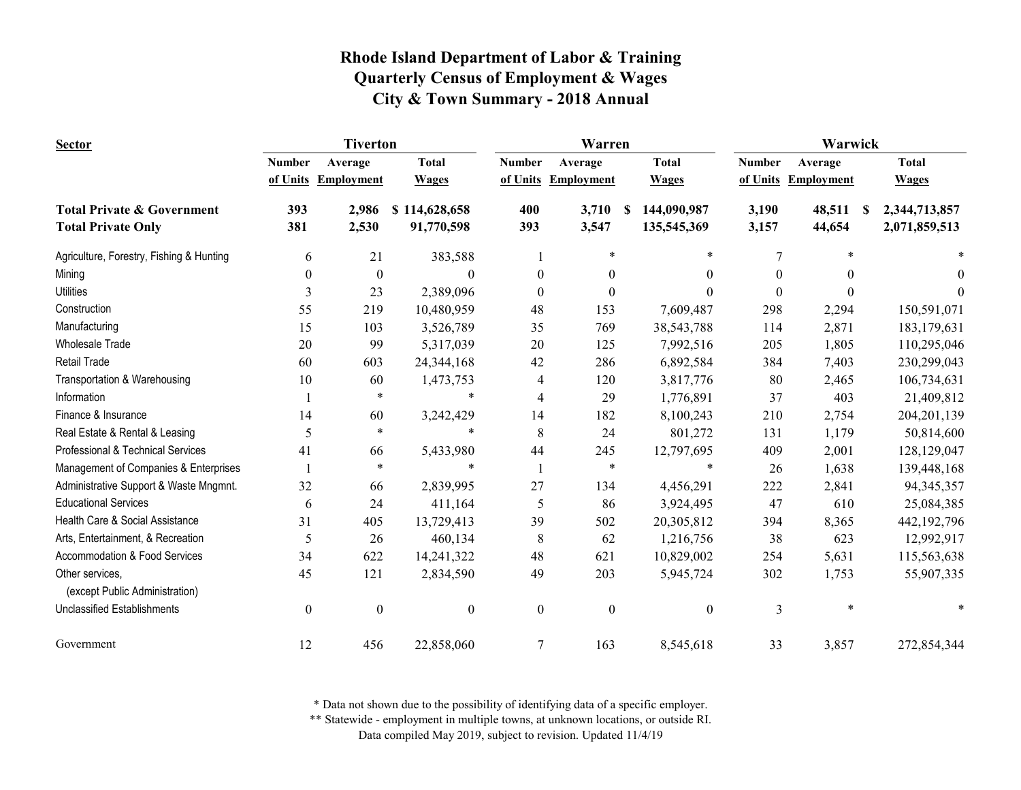| <b>Sector</b>                                     |                  | <b>Tiverton</b>   |                  |                  | Warren            |                         | Warwick          |                     |                           |  |
|---------------------------------------------------|------------------|-------------------|------------------|------------------|-------------------|-------------------------|------------------|---------------------|---------------------------|--|
|                                                   | <b>Number</b>    | Average           | <b>Total</b>     | <b>Number</b>    | Average           | <b>Total</b>            | <b>Number</b>    | Average             | <b>Total</b>              |  |
|                                                   | of Units         | <b>Employment</b> | <b>Wages</b>     | of Units         | <b>Employment</b> | <b>Wages</b>            |                  | of Units Employment | <b>Wages</b>              |  |
| <b>Total Private &amp; Government</b>             | 393              | 2,986             | \$114,628,658    | 400              | 3,710             | 144,090,987<br><b>S</b> | 3,190            | 48,511              | 2,344,713,857<br><b>S</b> |  |
| <b>Total Private Only</b>                         | 381              | 2,530             | 91,770,598       | 393              | 3,547             | 135,545,369             | 3,157            | 44,654              | 2,071,859,513             |  |
| Agriculture, Forestry, Fishing & Hunting          | 6                | 21                | 383,588          |                  | $\ast$            | *                       | $\overline{7}$   | *                   |                           |  |
| Mining                                            | $\theta$         | $\boldsymbol{0}$  | $\boldsymbol{0}$ | $\theta$         | $\theta$          | 0                       | $\boldsymbol{0}$ | $\theta$            | 0                         |  |
| <b>Utilities</b>                                  | 3                | 23                | 2,389,096        | $\Omega$         | $\theta$          | 0                       | $\theta$         | 0                   | 0                         |  |
| Construction                                      | 55               | 219               | 10,480,959       | 48               | 153               | 7,609,487               | 298              | 2,294               | 150,591,071               |  |
| Manufacturing                                     | 15               | 103               | 3,526,789        | 35               | 769               | 38,543,788              | 114              | 2,871               | 183, 179, 631             |  |
| <b>Wholesale Trade</b>                            | 20               | 99                | 5,317,039        | 20               | 125               | 7,992,516               | 205              | 1,805               | 110,295,046               |  |
| <b>Retail Trade</b>                               | 60               | 603               | 24,344,168       | 42               | 286               | 6,892,584               | 384              | 7,403               | 230,299,043               |  |
| Transportation & Warehousing                      | 10               | 60                | 1,473,753        | $\overline{4}$   | 120               | 3,817,776               | 80               | 2,465               | 106,734,631               |  |
| Information                                       |                  | $\ast$            | $\ast$           | $\overline{4}$   | 29                | 1,776,891               | 37               | 403                 | 21,409,812                |  |
| Finance & Insurance                               | 14               | 60                | 3,242,429        | 14               | 182               | 8,100,243               | 210              | 2,754               | 204, 201, 139             |  |
| Real Estate & Rental & Leasing                    | 5                | $\ast$            | $\ast$           | 8                | 24                | 801,272                 | 131              | 1,179               | 50,814,600                |  |
| Professional & Technical Services                 | 41               | 66                | 5,433,980        | 44               | 245               | 12,797,695              | 409              | 2,001               | 128,129,047               |  |
| Management of Companies & Enterprises             |                  | $\ast$            | $\ast$           |                  | $\ast$            | $\ast$                  | 26               | 1,638               | 139,448,168               |  |
| Administrative Support & Waste Mngmnt.            | 32               | 66                | 2,839,995        | 27               | 134               | 4,456,291               | 222              | 2,841               | 94, 345, 357              |  |
| <b>Educational Services</b>                       | 6                | 24                | 411,164          | 5                | 86                | 3,924,495               | 47               | 610                 | 25,084,385                |  |
| Health Care & Social Assistance                   | 31               | 405               | 13,729,413       | 39               | 502               | 20,305,812              | 394              | 8,365               | 442,192,796               |  |
| Arts, Entertainment, & Recreation                 | 5                | 26                | 460,134          | 8                | 62                | 1,216,756               | 38               | 623                 | 12,992,917                |  |
| Accommodation & Food Services                     | 34               | 622               | 14,241,322       | 48               | 621               | 10,829,002              | 254              | 5,631               | 115,563,638               |  |
| Other services,<br>(except Public Administration) | 45               | 121               | 2,834,590        | 49               | 203               | 5,945,724               | 302              | 1,753               | 55,907,335                |  |
| <b>Unclassified Establishments</b>                | $\boldsymbol{0}$ | $\boldsymbol{0}$  | $\boldsymbol{0}$ | $\boldsymbol{0}$ | $\boldsymbol{0}$  | $\boldsymbol{0}$        | 3                | $\ast$              |                           |  |
| Government                                        | 12               | 456               | 22,858,060       | $\overline{7}$   | 163               | 8,545,618               | 33               | 3,857               | 272,854,344               |  |

\* Data not shown due to the possibility of identifying data of a specific employer.

\*\* Statewide - employment in multiple towns, at unknown locations, or outside RI.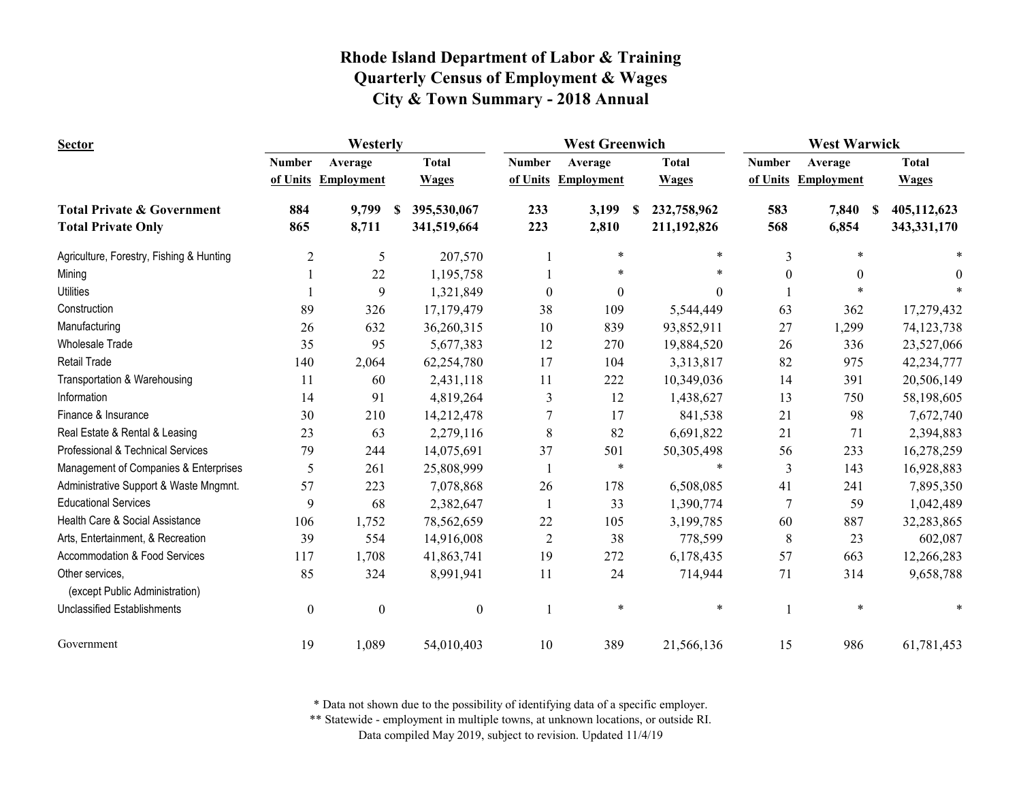| <b>Sector</b>                                     | Westerly         |                     |                  |                | <b>West Greenwich</b> |                         | <b>West Warwick</b> |                     |                  |
|---------------------------------------------------|------------------|---------------------|------------------|----------------|-----------------------|-------------------------|---------------------|---------------------|------------------|
|                                                   | <b>Number</b>    | Average             | <b>Total</b>     | <b>Number</b>  | Average               | <b>Total</b>            | <b>Number</b>       | Average             | <b>Total</b>     |
|                                                   |                  | of Units Employment | <b>Wages</b>     |                | of Units Employment   | <b>Wages</b>            |                     | of Units Employment | <b>Wages</b>     |
| <b>Total Private &amp; Government</b>             | 884              | 9,799               | 395,530,067<br>S | 233            | 3,199                 | 232,758,962<br><b>S</b> | 583                 | 7,840               | 405,112,623<br>S |
| <b>Total Private Only</b>                         | 865              | 8,711               | 341,519,664      | 223            | 2,810                 | 211,192,826             | 568                 | 6,854               | 343,331,170      |
| Agriculture, Forestry, Fishing & Hunting          | $\overline{2}$   | 5                   | 207,570          |                | *                     | $\ast$                  | 3                   | $\ast$              | $\ast$           |
| Mining                                            |                  | $22\,$              | 1,195,758        |                | $\ast$                | $\ast$                  | $\boldsymbol{0}$    |                     | $\overline{0}$   |
| <b>Utilities</b>                                  |                  | 9                   | 1,321,849        | $\mathbf{0}$   | $\boldsymbol{0}$      | $\theta$                |                     |                     |                  |
| Construction                                      | 89               | 326                 | 17,179,479       | 38             | 109                   | 5,544,449               | 63                  | 362                 | 17,279,432       |
| Manufacturing                                     | 26               | 632                 | 36,260,315       | $10\,$         | 839                   | 93,852,911              | 27                  | 1,299               | 74,123,738       |
| <b>Wholesale Trade</b>                            | 35               | 95                  | 5,677,383        | 12             | 270                   | 19,884,520              | 26                  | 336                 | 23,527,066       |
| <b>Retail Trade</b>                               | 140              | 2,064               | 62,254,780       | 17             | 104                   | 3,313,817               | 82                  | 975                 | 42,234,777       |
| Transportation & Warehousing                      | 11               | 60                  | 2,431,118        | 11             | 222                   | 10,349,036              | 14                  | 391                 | 20,506,149       |
| Information                                       | 14               | 91                  | 4,819,264        | 3              | 12                    | 1,438,627               | 13                  | 750                 | 58,198,605       |
| Finance & Insurance                               | 30               | 210                 | 14,212,478       | 7              | 17                    | 841,538                 | 21                  | 98                  | 7,672,740        |
| Real Estate & Rental & Leasing                    | 23               | 63                  | 2,279,116        | $\,8\,$        | 82                    | 6,691,822               | 21                  | 71                  | 2,394,883        |
| Professional & Technical Services                 | 79               | 244                 | 14,075,691       | 37             | 501                   | 50,305,498              | 56                  | 233                 | 16,278,259       |
| Management of Companies & Enterprises             | 5                | 261                 | 25,808,999       |                | $\ast$                | $\ast$                  | 3                   | 143                 | 16,928,883       |
| Administrative Support & Waste Mngmnt.            | 57               | 223                 | 7,078,868        | 26             | 178                   | 6,508,085               | 41                  | 241                 | 7,895,350        |
| <b>Educational Services</b>                       | 9                | 68                  | 2,382,647        |                | 33                    | 1,390,774               | 7                   | 59                  | 1,042,489        |
| Health Care & Social Assistance                   | 106              | 1,752               | 78,562,659       | 22             | 105                   | 3,199,785               | 60                  | 887                 | 32,283,865       |
| Arts, Entertainment, & Recreation                 | 39               | 554                 | 14,916,008       | $\overline{2}$ | 38                    | 778,599                 | $\,$ 8 $\,$         | 23                  | 602,087          |
| Accommodation & Food Services                     | 117              | 1,708               | 41,863,741       | 19             | 272                   | 6,178,435               | 57                  | 663                 | 12,266,283       |
| Other services,<br>(except Public Administration) | 85               | 324                 | 8,991,941        | 11             | 24                    | 714,944                 | 71                  | 314                 | 9,658,788        |
| <b>Unclassified Establishments</b>                | $\boldsymbol{0}$ | $\boldsymbol{0}$    | $\boldsymbol{0}$ |                | *                     | $\ast$                  |                     | $\ast$              |                  |
| Government                                        | 19               | 1,089               | 54,010,403       | 10             | 389                   | 21,566,136              | 15                  | 986                 | 61,781,453       |

\* Data not shown due to the possibility of identifying data of a specific employer.

\*\* Statewide - employment in multiple towns, at unknown locations, or outside RI.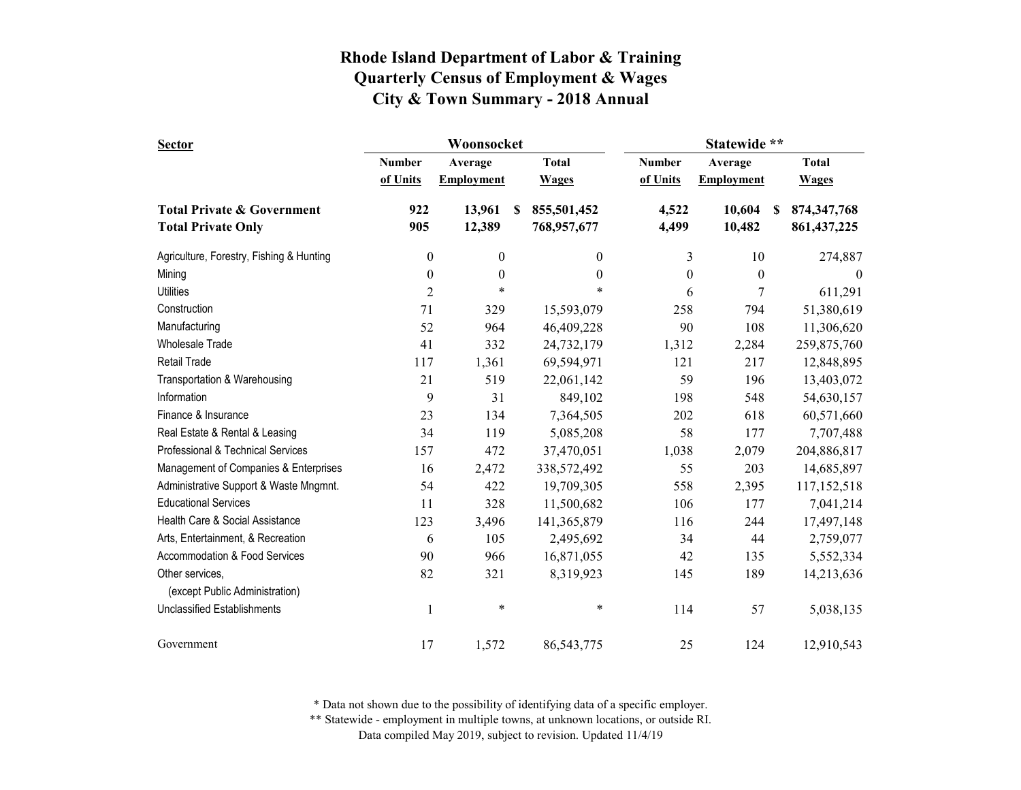| <b>Sector</b>                            |                | Woonsocket        |               | Statewide **     |                  |                   |   |                  |
|------------------------------------------|----------------|-------------------|---------------|------------------|------------------|-------------------|---|------------------|
|                                          | <b>Number</b>  | Average           |               | <b>Total</b>     | <b>Number</b>    | Average           |   | <b>Total</b>     |
|                                          | of Units       | <b>Employment</b> |               | <b>Wages</b>     | of Units         | <b>Employment</b> |   | <b>Wages</b>     |
| <b>Total Private &amp; Government</b>    | 922            | 13,961            | <sup>\$</sup> | 855,501,452      | 4,522            | 10,604            | S | 874, 347, 768    |
| <b>Total Private Only</b>                | 905            | 12,389            |               | 768,957,677      | 4,499            | 10,482            |   | 861, 437, 225    |
| Agriculture, Forestry, Fishing & Hunting | $\mathbf{0}$   | $\boldsymbol{0}$  |               | $\boldsymbol{0}$ | $\mathfrak{Z}$   | 10                |   | 274,887          |
| Mining                                   | $\mathbf{0}$   | $\boldsymbol{0}$  |               | $\boldsymbol{0}$ | $\boldsymbol{0}$ | $\boldsymbol{0}$  |   | $\boldsymbol{0}$ |
| <b>Utilities</b>                         | $\overline{2}$ | $\ast$            |               | *                | 6                | $\overline{7}$    |   | 611,291          |
| Construction                             | 71             | 329               |               | 15,593,079       | 258              | 794               |   | 51,380,619       |
| Manufacturing                            | 52             | 964               |               | 46,409,228       | 90               | 108               |   | 11,306,620       |
| <b>Wholesale Trade</b>                   | 41             | 332               |               | 24,732,179       | 1,312            | 2,284             |   | 259,875,760      |
| <b>Retail Trade</b>                      | 117            | 1,361             |               | 69,594,971       | 121              | 217               |   | 12,848,895       |
| Transportation & Warehousing             | 21             | 519               |               | 22,061,142       | 59               | 196               |   | 13,403,072       |
| Information                              | 9              | 31                |               | 849,102          | 198              | 548               |   | 54,630,157       |
| Finance & Insurance                      | 23             | 134               |               | 7,364,505        | 202              | 618               |   | 60,571,660       |
| Real Estate & Rental & Leasing           | 34             | 119               |               | 5,085,208        | 58               | 177               |   | 7,707,488        |
| Professional & Technical Services        | 157            | 472               |               | 37,470,051       | 1,038            | 2,079             |   | 204,886,817      |
| Management of Companies & Enterprises    | 16             | 2,472             |               | 338,572,492      | 55               | 203               |   | 14,685,897       |
| Administrative Support & Waste Mngmnt.   | 54             | 422               |               | 19,709,305       | 558              | 2,395             |   | 117,152,518      |
| <b>Educational Services</b>              | 11             | 328               |               | 11,500,682       | 106              | 177               |   | 7,041,214        |
| Health Care & Social Assistance          | 123            | 3,496             |               | 141,365,879      | 116              | 244               |   | 17,497,148       |
| Arts, Entertainment, & Recreation        | 6              | 105               |               | 2,495,692        | 34               | 44                |   | 2,759,077        |
| Accommodation & Food Services            | 90             | 966               |               | 16,871,055       | 42               | 135               |   | 5,552,334        |
| Other services,                          | 82             | 321               |               | 8,319,923        | 145              | 189               |   | 14,213,636       |
| (except Public Administration)           |                |                   |               |                  |                  |                   |   |                  |
| <b>Unclassified Establishments</b>       | 1              | ∗                 |               | ∗                | 114              | 57                |   | 5,038,135        |
| Government                               | 17             | 1,572             |               | 86, 543, 775     | 25               | 124               |   | 12,910,543       |

\* Data not shown due to the possibility of identifying data of a specific employer.

\*\* Statewide - employment in multiple towns, at unknown locations, or outside RI.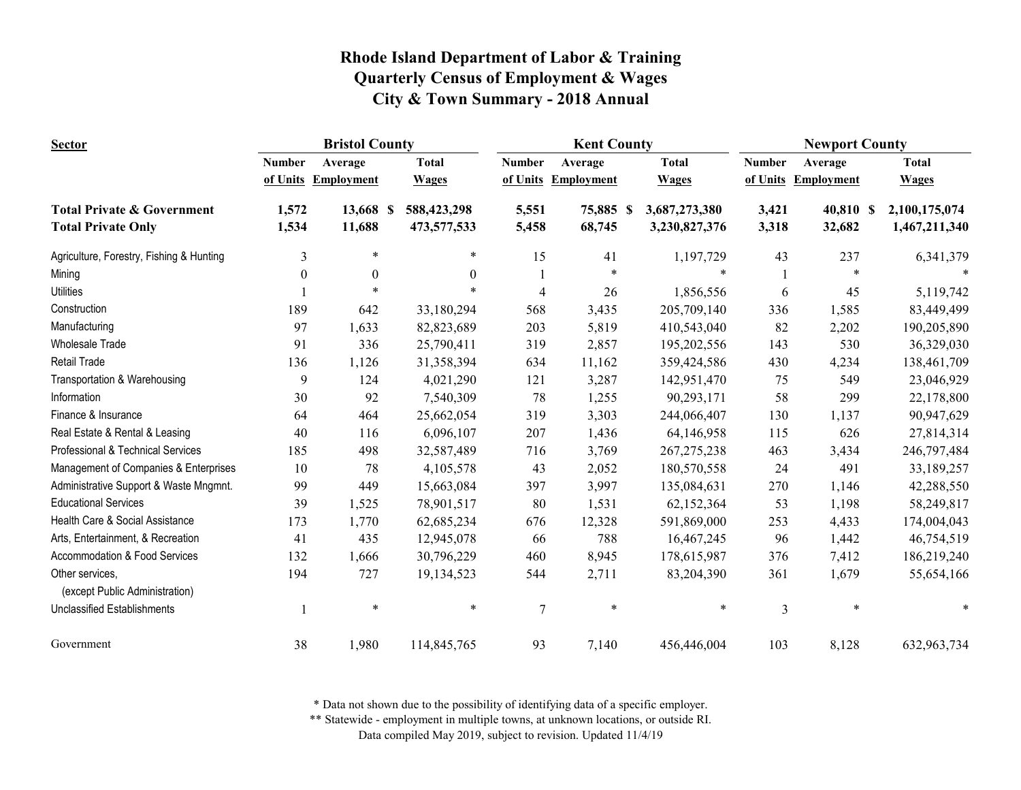| <b>Sector</b>                            | <b>Bristol County</b> |                   |                  |                | <b>Kent County</b> |               | <b>Newport County</b> |                   |               |
|------------------------------------------|-----------------------|-------------------|------------------|----------------|--------------------|---------------|-----------------------|-------------------|---------------|
|                                          | <b>Number</b>         | Average           | <b>Total</b>     | <b>Number</b>  | Average            | <b>Total</b>  | <b>Number</b>         | Average           | <b>Total</b>  |
|                                          | of Units              | <b>Employment</b> | <b>Wages</b>     | of Units       | <b>Employment</b>  | <b>Wages</b>  | of Units              | <b>Employment</b> | <b>Wages</b>  |
| <b>Total Private &amp; Government</b>    | 1,572                 | 13,668 \$         | 588,423,298      | 5,551          | 75,885 \$          | 3,687,273,380 | 3,421                 | 40,810 \$         | 2,100,175,074 |
| <b>Total Private Only</b>                | 1,534                 | 11,688            | 473,577,533      | 5,458          | 68,745             | 3,230,827,376 | 3,318                 | 32,682            | 1,467,211,340 |
| Agriculture, Forestry, Fishing & Hunting | 3                     | $\ast$            | ∗                | 15             | 41                 | 1,197,729     | 43                    | 237               | 6,341,379     |
| Mining                                   | $\boldsymbol{0}$      | $\boldsymbol{0}$  | $\boldsymbol{0}$ |                | $\ast$             | $\ast$        |                       | $\ast$            |               |
| <b>Utilities</b>                         |                       |                   |                  | 4              | 26                 | 1,856,556     | 6                     | 45                | 5,119,742     |
| Construction                             | 189                   | 642               | 33,180,294       | 568            | 3,435              | 205,709,140   | 336                   | 1,585             | 83,449,499    |
| Manufacturing                            | 97                    | 1,633             | 82,823,689       | 203            | 5,819              | 410,543,040   | 82                    | 2,202             | 190,205,890   |
| <b>Wholesale Trade</b>                   | 91                    | 336               | 25,790,411       | 319            | 2,857              | 195,202,556   | 143                   | 530               | 36,329,030    |
| <b>Retail Trade</b>                      | 136                   | 1,126             | 31,358,394       | 634            | 11,162             | 359,424,586   | 430                   | 4,234             | 138,461,709   |
| Transportation & Warehousing             | 9                     | 124               | 4,021,290        | 121            | 3,287              | 142,951,470   | 75                    | 549               | 23,046,929    |
| Information                              | 30                    | 92                | 7,540,309        | 78             | 1,255              | 90,293,171    | 58                    | 299               | 22,178,800    |
| Finance & Insurance                      | 64                    | 464               | 25,662,054       | 319            | 3,303              | 244,066,407   | 130                   | 1,137             | 90,947,629    |
| Real Estate & Rental & Leasing           | 40                    | 116               | 6,096,107        | 207            | 1,436              | 64,146,958    | 115                   | 626               | 27,814,314    |
| Professional & Technical Services        | 185                   | 498               | 32,587,489       | 716            | 3,769              | 267, 275, 238 | 463                   | 3,434             | 246,797,484   |
| Management of Companies & Enterprises    | 10                    | 78                | 4,105,578        | 43             | 2,052              | 180,570,558   | 24                    | 491               | 33,189,257    |
| Administrative Support & Waste Mngmnt.   | 99                    | 449               | 15,663,084       | 397            | 3,997              | 135,084,631   | 270                   | 1,146             | 42,288,550    |
| <b>Educational Services</b>              | 39                    | 1,525             | 78,901,517       | 80             | 1,531              | 62,152,364    | 53                    | 1,198             | 58,249,817    |
| Health Care & Social Assistance          | 173                   | 1,770             | 62,685,234       | 676            | 12,328             | 591,869,000   | 253                   | 4,433             | 174,004,043   |
| Arts, Entertainment, & Recreation        | 41                    | 435               | 12,945,078       | 66             | 788                | 16,467,245    | 96                    | 1,442             | 46,754,519    |
| <b>Accommodation &amp; Food Services</b> | 132                   | 1,666             | 30,796,229       | 460            | 8,945              | 178,615,987   | 376                   | 7,412             | 186,219,240   |
| Other services,                          | 194                   | 727               | 19,134,523       | 544            | 2,711              | 83,204,390    | 361                   | 1,679             | 55,654,166    |
| (except Public Administration)           |                       |                   |                  |                |                    |               |                       |                   |               |
| <b>Unclassified Establishments</b>       |                       | $\ast$            | $\ast$           | $\overline{7}$ | $\ast$             | *             | 3                     | $\ast$            | $\ast$        |
| Government                               | 38                    | 1,980             | 114,845,765      | 93             | 7,140              | 456,446,004   | 103                   | 8,128             | 632,963,734   |

\* Data not shown due to the possibility of identifying data of a specific employer.

\*\* Statewide - employment in multiple towns, at unknown locations, or outside RI.